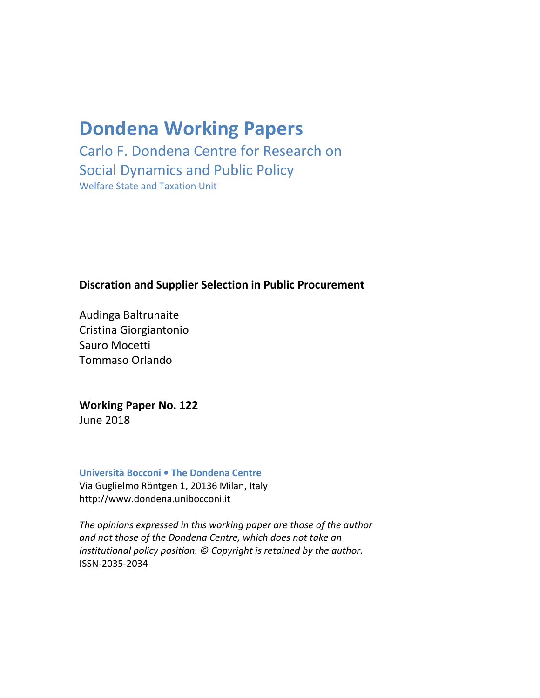# **Dondena Working Papers**

Carlo F. Dondena Centre for Research on Social Dynamics and Public Policy Welfare State and Taxation Unit

# **Discration and Supplier Selection in Public Procurement**

Audinga Baltrunaite Cristina Giorgiantonio Sauro Mocetti Tommaso Orlando

**Working Paper No. 122** June 2018

#### **Università Bocconi • The Dondena Centre**

Via Guglielmo Röntgen 1, 20136 Milan, Italy http://www.dondena.unibocconi.it

*The opinions expressed in this working paper are those of the author and not those of the Dondena Centre, which does not take an institutional policy position. © Copyright is retained by the author.* ISSN-2035-2034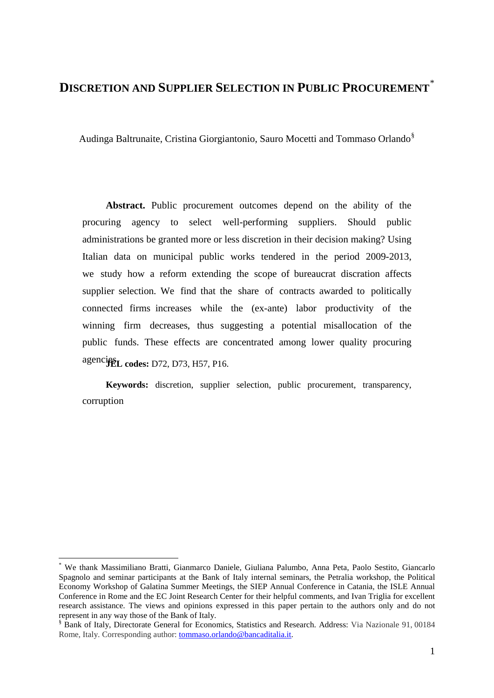# **DISCRETION AND SUPPLIER SELECTION IN PUBLIC PROCUREMENT**[\\*](#page-1-0)

Audinga Baltrunaite, Cristina Giorgiantonio, Sauro Mocetti and Tommaso Orlando[§](#page-1-1)

**Abstract.** Public procurement outcomes depend on the ability of the procuring agency to select well-performing suppliers. Should public administrations be granted more or less discretion in their decision making? Using Italian data on municipal public works tendered in the period 2009-2013, we study how a reform extending the scope of bureaucrat discration affects supplier selection. We find that the share of contracts awarded to politically connected firms increases while the (ex-ante) labor productivity of the winning firm decreases, thus suggesting a potential misallocation of the public funds. These effects are concentrated among lower quality procuring agencies. D72, D73, H57, P16.

**Keywords:** discretion, supplier selection, public procurement, transparency, corruption

<span id="page-1-0"></span><sup>\*</sup> We thank Massimiliano Bratti, Gianmarco Daniele, Giuliana Palumbo, Anna Peta, Paolo Sestito, Giancarlo Spagnolo and seminar participants at the Bank of Italy internal seminars, the Petralia workshop, the Political Economy Workshop of Galatina Summer Meetings, the SIEP Annual Conference in Catania, the ISLE Annual Conference in Rome and the EC Joint Research Center for their helpful comments, and Ivan Triglia for excellent research assistance. The views and opinions expressed in this paper pertain to the authors only and do not represent in any way those of the Bank of Italy.

<span id="page-1-1"></span><sup>§</sup> Bank of Italy, Directorate General for Economics, Statistics and Research. Address: Via Nazionale 91, 00184 Rome, Italy. Corresponding author: tommaso.orlando@bancaditalia.it.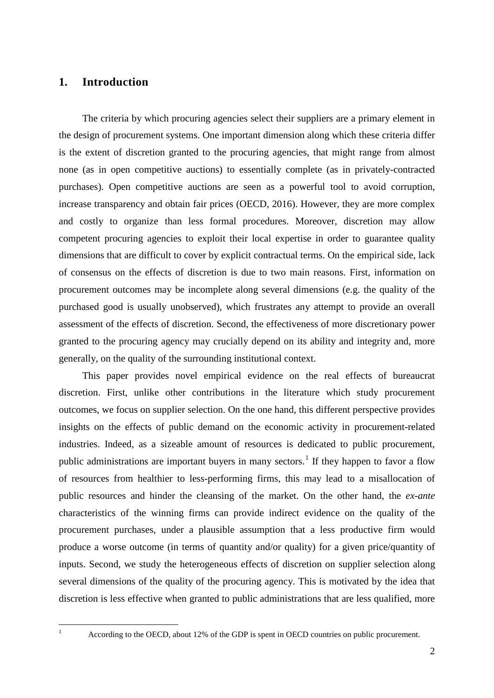# **1. Introduction**

The criteria by which procuring agencies select their suppliers are a primary element in the design of procurement systems. One important dimension along which these criteria differ is the extent of discretion granted to the procuring agencies, that might range from almost none (as in open competitive auctions) to essentially complete (as in privately-contracted purchases). Open competitive auctions are seen as a powerful tool to avoid corruption, increase transparency and obtain fair prices (OECD, 2016). However, they are more complex and costly to organize than less formal procedures. Moreover, discretion may allow competent procuring agencies to exploit their local expertise in order to guarantee quality dimensions that are difficult to cover by explicit contractual terms. On the empirical side, lack of consensus on the effects of discretion is due to two main reasons. First, information on procurement outcomes may be incomplete along several dimensions (e.g. the quality of the purchased good is usually unobserved), which frustrates any attempt to provide an overall assessment of the effects of discretion. Second, the effectiveness of more discretionary power granted to the procuring agency may crucially depend on its ability and integrity and, more generally, on the quality of the surrounding institutional context.

This paper provides novel empirical evidence on the real effects of bureaucrat discretion. First, unlike other contributions in the literature which study procurement outcomes, we focus on supplier selection. On the one hand, this different perspective provides insights on the effects of public demand on the economic activity in procurement-related industries. Indeed, as a sizeable amount of resources is dedicated to public procurement, public administrations are important buyers in many sectors.<sup>[1](#page-2-0)</sup> If they happen to favor a flow of resources from healthier to less-performing firms, this may lead to a misallocation of public resources and hinder the cleansing of the market. On the other hand, the *ex-ante* characteristics of the winning firms can provide indirect evidence on the quality of the procurement purchases, under a plausible assumption that a less productive firm would produce a worse outcome (in terms of quantity and/or quality) for a given price/quantity of inputs. Second, we study the heterogeneous effects of discretion on supplier selection along several dimensions of the quality of the procuring agency. This is motivated by the idea that discretion is less effective when granted to public administrations that are less qualified, more

<span id="page-2-0"></span>

According to the OECD, about 12% of the GDP is spent in OECD countries on public procurement.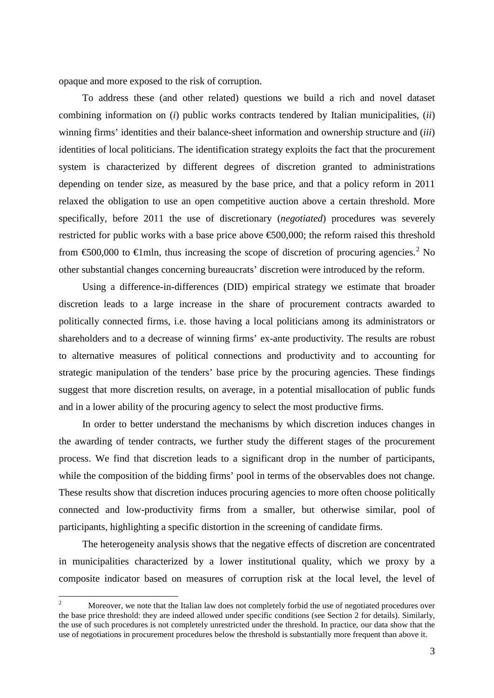opaque and more exposed to the risk of corruption.

To address these (and other related) questions we build a rich and novel dataset combining information on (*i*) public works contracts tendered by Italian municipalities, (*ii*) winning firms' identities and their balance-sheet information and ownership structure and (*iii*) identities of local politicians. The identification strategy exploits the fact that the procurement system is characterized by different degrees of discretion granted to administrations depending on tender size, as measured by the base price, and that a policy reform in 2011 relaxed the obligation to use an open competitive auction above a certain threshold. More specifically, before 2011 the use of discretionary (*negotiated*) procedures was severely restricted for public works with a base price above €500,000; the reform raised this threshold from  $\text{\textsterling}00,000$  to  $\text{\textsterling}$  mln, thus increasing the scope of discretion of procuring agencies.<sup>[2](#page-3-0)</sup> No other substantial changes concerning bureaucrats' discretion were introduced by the reform.

Using a difference-in-differences (DID) empirical strategy we estimate that broader discretion leads to a large increase in the share of procurement contracts awarded to politically connected firms, i.e. those having a local politicians among its administrators or shareholders and to a decrease of winning firms' ex-ante productivity. The results are robust to alternative measures of political connections and productivity and to accounting for strategic manipulation of the tenders' base price by the procuring agencies. These findings suggest that more discretion results, on average, in a potential misallocation of public funds and in a lower ability of the procuring agency to select the most productive firms.

In order to better understand the mechanisms by which discretion induces changes in the awarding of tender contracts, we further study the different stages of the procurement process. We find that discretion leads to a significant drop in the number of participants, while the composition of the bidding firms' pool in terms of the observables does not change. These results show that discretion induces procuring agencies to more often choose politically connected and low-productivity firms from a smaller, but otherwise similar, pool of participants, highlighting a specific distortion in the screening of candidate firms.

The heterogeneity analysis shows that the negative effects of discretion are concentrated in municipalities characterized by a lower institutional quality, which we proxy by a composite indicator based on measures of corruption risk at the local level, the level of

<span id="page-3-0"></span><sup>&</sup>lt;sup>2</sup> Moreover, we note that the Italian law does not completely forbid the use of negotiated procedures over the base price threshold: they are indeed allowed under specific conditions (see Section 2 for details). Similarly, the use of such procedures is not completely unrestricted under the threshold. In practice, our data show that the use of negotiations in procurement procedures below the threshold is substantially more frequent than above it.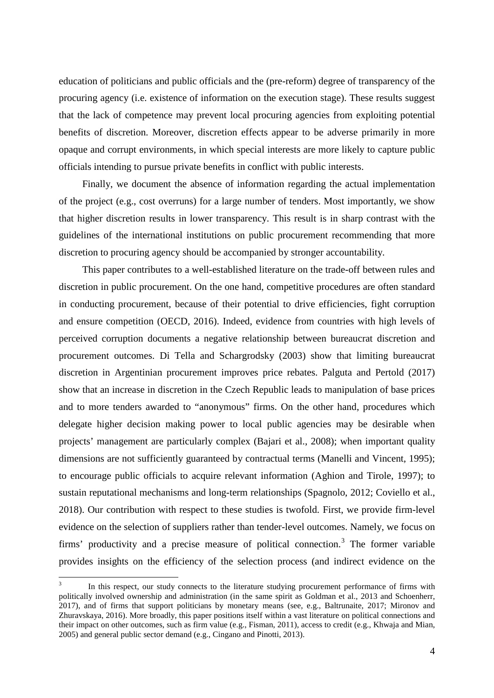education of politicians and public officials and the (pre-reform) degree of transparency of the procuring agency (i.e. existence of information on the execution stage). These results suggest that the lack of competence may prevent local procuring agencies from exploiting potential benefits of discretion. Moreover, discretion effects appear to be adverse primarily in more opaque and corrupt environments, in which special interests are more likely to capture public officials intending to pursue private benefits in conflict with public interests.

Finally, we document the absence of information regarding the actual implementation of the project (e.g., cost overruns) for a large number of tenders. Most importantly, we show that higher discretion results in lower transparency. This result is in sharp contrast with the guidelines of the international institutions on public procurement recommending that more discretion to procuring agency should be accompanied by stronger accountability.

This paper contributes to a well-established literature on the trade-off between rules and discretion in public procurement. On the one hand, competitive procedures are often standard in conducting procurement, because of their potential to drive efficiencies, fight corruption and ensure competition (OECD, 2016). Indeed, evidence from countries with high levels of perceived corruption documents a negative relationship between bureaucrat discretion and procurement outcomes. Di Tella and Schargrodsky (2003) show that limiting bureaucrat discretion in Argentinian procurement improves price rebates. Palguta and Pertold (2017) show that an increase in discretion in the Czech Republic leads to manipulation of base prices and to more tenders awarded to "anonymous" firms. On the other hand, procedures which delegate higher decision making power to local public agencies may be desirable when projects' management are particularly complex (Bajari et al., 2008); when important quality dimensions are not sufficiently guaranteed by contractual terms (Manelli and Vincent, 1995); to encourage public officials to acquire relevant information (Aghion and Tirole, 1997); to sustain reputational mechanisms and long-term relationships (Spagnolo, 2012; Coviello et al., 2018). Our contribution with respect to these studies is twofold. First, we provide firm-level evidence on the selection of suppliers rather than tender-level outcomes. Namely, we focus on firms' productivity and a precise measure of political connection.<sup>[3](#page-4-0)</sup> The former variable provides insights on the efficiency of the selection process (and indirect evidence on the

<span id="page-4-0"></span><sup>&</sup>lt;sup>3</sup> In this respect, our study connects to the literature studying procurement performance of firms with politically involved ownership and administration (in the same spirit as Goldman et al., 2013 and Schoenherr, 2017), and of firms that support politicians by monetary means (see, e.g., Baltrunaite, 2017; Mironov and Zhuravskaya, 2016). More broadly, this paper positions itself within a vast literature on political connections and their impact on other outcomes, such as firm value (e.g., Fisman, 2011), access to credit (e.g., Khwaja and Mian, 2005) and general public sector demand (e.g., Cingano and Pinotti, 2013).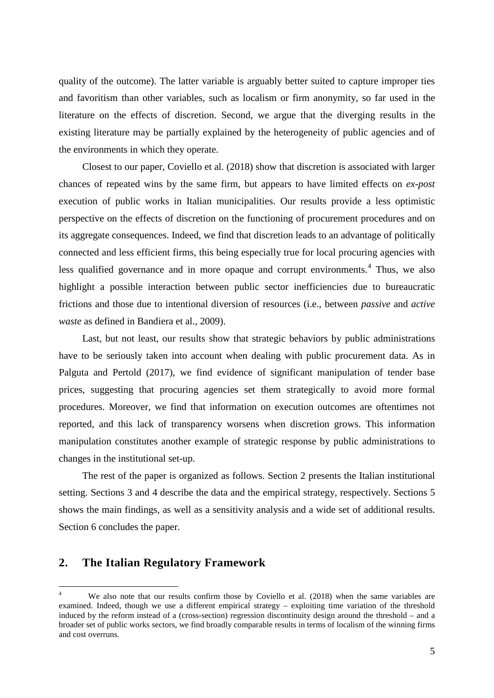quality of the outcome). The latter variable is arguably better suited to capture improper ties and favoritism than other variables, such as localism or firm anonymity, so far used in the literature on the effects of discretion. Second, we argue that the diverging results in the existing literature may be partially explained by the heterogeneity of public agencies and of the environments in which they operate.

Closest to our paper, Coviello et al. (2018) show that discretion is associated with larger chances of repeated wins by the same firm, but appears to have limited effects on *ex-post* execution of public works in Italian municipalities. Our results provide a less optimistic perspective on the effects of discretion on the functioning of procurement procedures and on its aggregate consequences. Indeed, we find that discretion leads to an advantage of politically connected and less efficient firms, this being especially true for local procuring agencies with less qualified governance and in more opaque and corrupt environments.<sup>[4](#page-5-0)</sup> Thus, we also highlight a possible interaction between public sector inefficiencies due to bureaucratic frictions and those due to intentional diversion of resources (i.e., between *passive* and *active waste* as defined in Bandiera et al., 2009).

Last, but not least, our results show that strategic behaviors by public administrations have to be seriously taken into account when dealing with public procurement data. As in Palguta and Pertold (2017), we find evidence of significant manipulation of tender base prices, suggesting that procuring agencies set them strategically to avoid more formal procedures. Moreover, we find that information on execution outcomes are oftentimes not reported, and this lack of transparency worsens when discretion grows. This information manipulation constitutes another example of strategic response by public administrations to changes in the institutional set-up.

The rest of the paper is organized as follows. Section 2 presents the Italian institutional setting. Sections 3 and 4 describe the data and the empirical strategy, respectively. Sections 5 shows the main findings, as well as a sensitivity analysis and a wide set of additional results. Section 6 concludes the paper.

# **2. The Italian Regulatory Framework**

<span id="page-5-0"></span>We also note that our results confirm those by Coviello et al. (2018) when the same variables are examined. Indeed, though we use a different empirical strategy – exploiting time variation of the threshold induced by the reform instead of a (cross-section) regression discontinuity design around the threshold – and a broader set of public works sectors, we find broadly comparable results in terms of localism of the winning firms and cost overruns.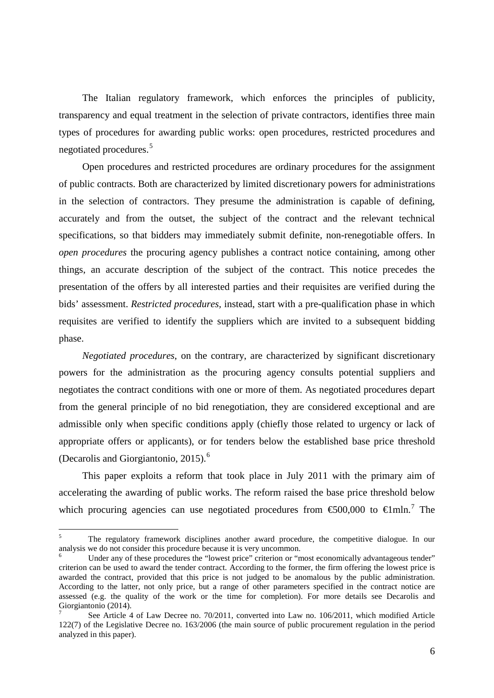The Italian regulatory framework, which enforces the principles of publicity, transparency and equal treatment in the selection of private contractors, identifies three main types of procedures for awarding public works: open procedures, restricted procedures and negotiated procedures. [5](#page-6-0)

Open procedures and restricted procedures are ordinary procedures for the assignment of public contracts. Both are characterized by limited discretionary powers for administrations in the selection of contractors. They presume the administration is capable of defining, accurately and from the outset, the subject of the contract and the relevant technical specifications, so that bidders may immediately submit definite, non-renegotiable offers. In *open procedures* the procuring agency publishes a contract notice containing, among other things, an accurate description of the subject of the contract. This notice precedes the presentation of the offers by all interested parties and their requisites are verified during the bids' assessment. *Restricted procedures,* instead, start with a pre-qualification phase in which requisites are verified to identify the suppliers which are invited to a subsequent bidding phase.

*Negotiated procedures*, on the contrary, are characterized by significant discretionary powers for the administration as the procuring agency consults potential suppliers and negotiates the contract conditions with one or more of them. As negotiated procedures depart from the general principle of no bid renegotiation, they are considered exceptional and are admissible only when specific conditions apply (chiefly those related to urgency or lack of appropriate offers or applicants), or for tenders below the established base price threshold (Decarolis and Giorgiantonio, 2015). [6](#page-6-1)

This paper exploits a reform that took place in July 2011 with the primary aim of accelerating the awarding of public works. The reform raised the base price threshold below which procuring agencies can use negotiated procedures from  $\epsilon$ 500,000 to  $\epsilon$ 1mln.<sup>[7](#page-6-2)</sup> The

<span id="page-6-0"></span> <sup>5</sup> The regulatory framework disciplines another award procedure, the competitive dialogue. In our analysis we do not consider this procedure because it is very uncommon.

<span id="page-6-1"></span>Under any of these procedures the "lowest price" criterion or "most economically advantageous tender" criterion can be used to award the tender contract. According to the former, the firm offering the lowest price is awarded the contract, provided that this price is not judged to be anomalous by the public administration. According to the latter, not only price, but a range of other parameters specified in the contract notice are assessed (e.g. the quality of the work or the time for completion). For more details see Decarolis and Giorgiantonio (2014).

<span id="page-6-2"></span>See Article 4 of Law Decree no. 70/2011, converted into Law no. 106/2011, which modified Article 122(7) of the Legislative Decree no. 163/2006 (the main source of public procurement regulation in the period analyzed in this paper).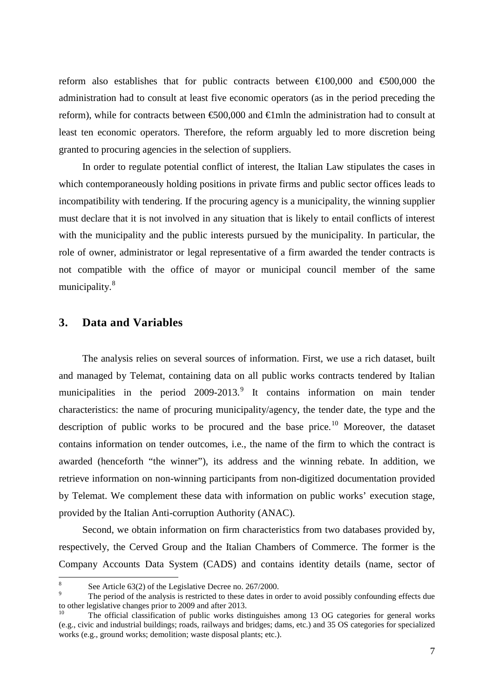reform also establishes that for public contracts between  $\text{\textsterling}100,000$  and  $\text{\textsterling}500,000$  the administration had to consult at least five economic operators (as in the period preceding the reform), while for contracts between €500,000 and €1mln the administration had to consult at least ten economic operators. Therefore, the reform arguably led to more discretion being granted to procuring agencies in the selection of suppliers.

In order to regulate potential conflict of interest, the Italian Law stipulates the cases in which contemporaneously holding positions in private firms and public sector offices leads to incompatibility with tendering. If the procuring agency is a municipality, the winning supplier must declare that it is not involved in any situation that is likely to entail conflicts of interest with the municipality and the public interests pursued by the municipality. In particular, the role of owner, administrator or legal representative of a firm awarded the tender contracts is not compatible with the office of mayor or municipal council member of the same municipality.<sup>[8](#page-7-0)</sup>

# **3. Data and Variables**

The analysis relies on several sources of information. First, we use a rich dataset, built and managed by Telemat, containing data on all public works contracts tendered by Italian municipalities in the period  $2009-2013$  $2009-2013$  $2009-2013$ .<sup>9</sup> It contains information on main tender characteristics: the name of procuring municipality/agency, the tender date, the type and the description of public works to be procured and the base price.<sup>[10](#page-7-2)</sup> Moreover, the dataset contains information on tender outcomes, i.e., the name of the firm to which the contract is awarded (henceforth "the winner"), its address and the winning rebate. In addition, we retrieve information on non-winning participants from non-digitized documentation provided by Telemat. We complement these data with information on public works' execution stage, provided by the Italian Anti-corruption Authority (ANAC).

Second, we obtain information on firm characteristics from two databases provided by, respectively, the Cerved Group and the Italian Chambers of Commerce. The former is the Company Accounts Data System (CADS) and contains identity details (name, sector of

<span id="page-7-1"></span>

<span id="page-7-0"></span>See Article 63(2) of the Legislative Decree no. 267/2000.<br>The period of the analysis is restricted to these dates in order to avoid possibly confounding effects due to other legislative changes prior to 2009 and after 2013.

<span id="page-7-2"></span>The official classification of public works distinguishes among 13 OG categories for general works (e.g., civic and industrial buildings; roads, railways and bridges; dams, etc.) and 35 OS categories for specialized works (e.g., ground works; demolition; waste disposal plants; etc.).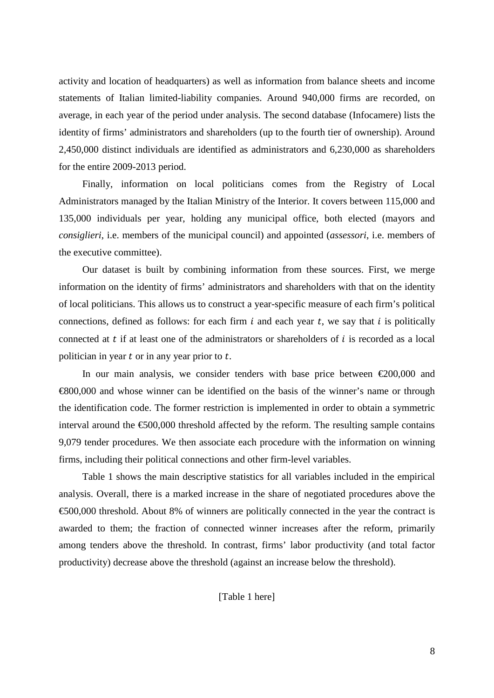activity and location of headquarters) as well as information from balance sheets and income statements of Italian limited-liability companies. Around 940,000 firms are recorded, on average, in each year of the period under analysis. The second database (Infocamere) lists the identity of firms' administrators and shareholders (up to the fourth tier of ownership). Around 2,450,000 distinct individuals are identified as administrators and 6,230,000 as shareholders for the entire 2009-2013 period.

Finally, information on local politicians comes from the Registry of Local Administrators managed by the Italian Ministry of the Interior. It covers between 115,000 and 135,000 individuals per year, holding any municipal office, both elected (mayors and *consiglieri*, i.e. members of the municipal council) and appointed (*assessori*, i.e. members of the executive committee).

Our dataset is built by combining information from these sources. First, we merge information on the identity of firms' administrators and shareholders with that on the identity of local politicians. This allows us to construct a year-specific measure of each firm's political connections, defined as follows: for each firm  $i$  and each year  $t$ , we say that  $i$  is politically connected at  $t$  if at least one of the administrators or shareholders of  $i$  is recorded as a local politician in year  $t$  or in any year prior to  $t$ .

In our main analysis, we consider tenders with base price between  $\epsilon 200,000$  and €800,000 and whose winner can be identified on the basis of the winner's name or through the identification code. The former restriction is implemented in order to obtain a symmetric interval around the  $\epsilon$ 600,000 threshold affected by the reform. The resulting sample contains 9,079 tender procedures. We then associate each procedure with the information on winning firms, including their political connections and other firm-level variables.

Table 1 shows the main descriptive statistics for all variables included in the empirical analysis. Overall, there is a marked increase in the share of negotiated procedures above the €500,000 threshold. About 8% of winners are politically connected in the year the contract is awarded to them; the fraction of connected winner increases after the reform, primarily among tenders above the threshold. In contrast, firms' labor productivity (and total factor productivity) decrease above the threshold (against an increase below the threshold).

[Table 1 here]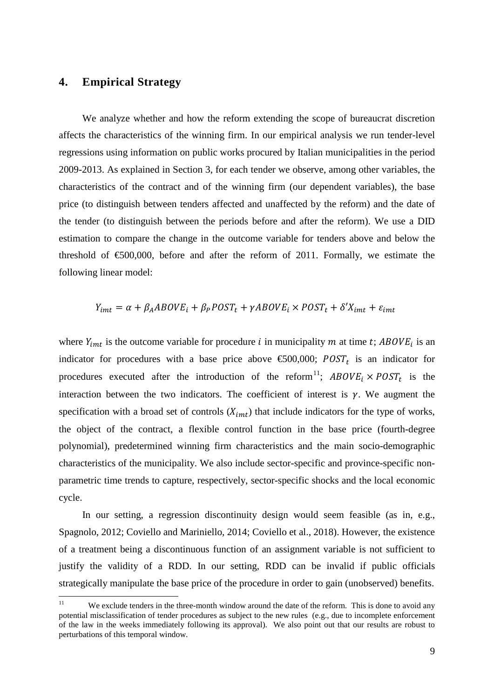# **4. Empirical Strategy**

We analyze whether and how the reform extending the scope of bureaucrat discretion affects the characteristics of the winning firm. In our empirical analysis we run tender-level regressions using information on public works procured by Italian municipalities in the period 2009-2013. As explained in Section 3, for each tender we observe, among other variables, the characteristics of the contract and of the winning firm (our dependent variables), the base price (to distinguish between tenders affected and unaffected by the reform) and the date of the tender (to distinguish between the periods before and after the reform). We use a DID estimation to compare the change in the outcome variable for tenders above and below the threshold of  $\epsilon$ 500,000, before and after the reform of 2011. Formally, we estimate the following linear model:

$$
Y_{imt} = \alpha + \beta_A ABOVE_i + \beta_P POST_t + \gamma ABOVE_i \times POST_t + \delta'X_{imt} + \varepsilon_{imt}
$$

where  $Y_{imt}$  is the outcome variable for procedure *i* in municipality *m* at time *t*; *ABOVE<sub>i</sub>* is an indicator for procedures with a base price above  $\epsilon$ 500,000; POST<sub>t</sub> is an indicator for procedures executed after the introduction of the reform<sup>[11](#page-9-0)</sup>;  $ABOVE_i \times POST_t$  is the interaction between the two indicators. The coefficient of interest is  $\gamma$ . We augment the specification with a broad set of controls  $(X_{imt})$  that include indicators for the type of works, the object of the contract, a flexible control function in the base price (fourth-degree polynomial), predetermined winning firm characteristics and the main socio-demographic characteristics of the municipality. We also include sector-specific and province-specific nonparametric time trends to capture, respectively, sector-specific shocks and the local economic cycle.

In our setting, a regression discontinuity design would seem feasible (as in, e.g., Spagnolo, 2012; Coviello and Mariniello, 2014; Coviello et al., 2018). However, the existence of a treatment being a discontinuous function of an assignment variable is not sufficient to justify the validity of a RDD. In our setting, RDD can be invalid if public officials strategically manipulate the base price of the procedure in order to gain (unobserved) benefits.

<span id="page-9-0"></span><sup>&</sup>lt;sup>11</sup> We exclude tenders in the three-month window around the date of the reform. This is done to avoid any potential misclassification of tender procedures as subject to the new rules (e.g., due to incomplete enforcement of the law in the weeks immediately following its approval). We also point out that our results are robust to perturbations of this temporal window.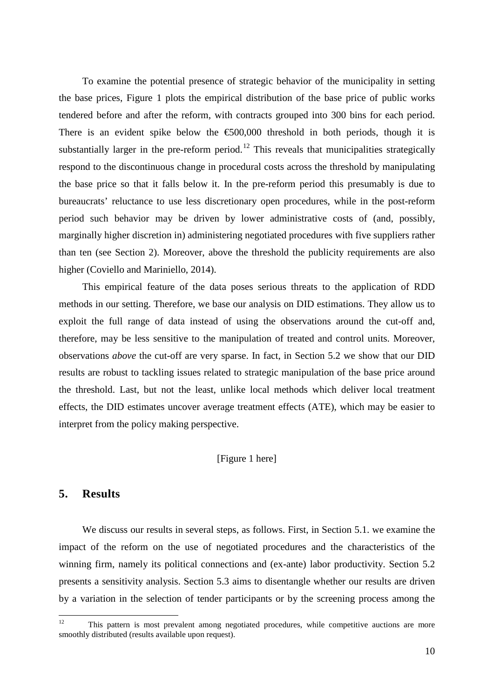To examine the potential presence of strategic behavior of the municipality in setting the base prices, Figure 1 plots the empirical distribution of the base price of public works tendered before and after the reform, with contracts grouped into 300 bins for each period. There is an evident spike below the  $\epsilon$ 600,000 threshold in both periods, though it is substantially larger in the pre-reform period.<sup>[12](#page-10-0)</sup> This reveals that municipalities strategically respond to the discontinuous change in procedural costs across the threshold by manipulating the base price so that it falls below it. In the pre-reform period this presumably is due to bureaucrats' reluctance to use less discretionary open procedures, while in the post-reform period such behavior may be driven by lower administrative costs of (and, possibly, marginally higher discretion in) administering negotiated procedures with five suppliers rather than ten (see Section 2). Moreover, above the threshold the publicity requirements are also higher (Coviello and Mariniello, 2014).

This empirical feature of the data poses serious threats to the application of RDD methods in our setting. Therefore, we base our analysis on DID estimations. They allow us to exploit the full range of data instead of using the observations around the cut-off and, therefore, may be less sensitive to the manipulation of treated and control units. Moreover, observations *above* the cut-off are very sparse. In fact, in Section 5.2 we show that our DID results are robust to tackling issues related to strategic manipulation of the base price around the threshold. Last, but not the least, unlike local methods which deliver local treatment effects, the DID estimates uncover average treatment effects (ATE), which may be easier to interpret from the policy making perspective.

#### [Figure 1 here]

# **5. Results**

We discuss our results in several steps, as follows. First, in Section 5.1. we examine the impact of the reform on the use of negotiated procedures and the characteristics of the winning firm, namely its political connections and (ex-ante) labor productivity. Section 5.2 presents a sensitivity analysis. Section 5.3 aims to disentangle whether our results are driven by a variation in the selection of tender participants or by the screening process among the

<span id="page-10-0"></span><sup>&</sup>lt;sup>12</sup> This pattern is most prevalent among negotiated procedures, while competitive auctions are more smoothly distributed (results available upon request).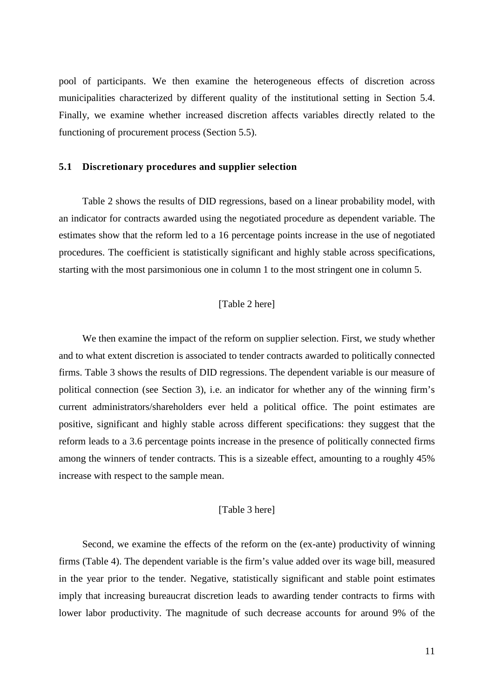pool of participants. We then examine the heterogeneous effects of discretion across municipalities characterized by different quality of the institutional setting in Section 5.4. Finally, we examine whether increased discretion affects variables directly related to the functioning of procurement process (Section 5.5).

#### **5.1 Discretionary procedures and supplier selection**

Table 2 shows the results of DID regressions, based on a linear probability model, with an indicator for contracts awarded using the negotiated procedure as dependent variable. The estimates show that the reform led to a 16 percentage points increase in the use of negotiated procedures. The coefficient is statistically significant and highly stable across specifications, starting with the most parsimonious one in column 1 to the most stringent one in column 5.

### [Table 2 here]

We then examine the impact of the reform on supplier selection. First, we study whether and to what extent discretion is associated to tender contracts awarded to politically connected firms. Table 3 shows the results of DID regressions. The dependent variable is our measure of political connection (see Section 3), i.e. an indicator for whether any of the winning firm's current administrators/shareholders ever held a political office. The point estimates are positive, significant and highly stable across different specifications: they suggest that the reform leads to a 3.6 percentage points increase in the presence of politically connected firms among the winners of tender contracts. This is a sizeable effect, amounting to a roughly 45% increase with respect to the sample mean.

#### [Table 3 here]

Second, we examine the effects of the reform on the (ex-ante) productivity of winning firms (Table 4). The dependent variable is the firm's value added over its wage bill, measured in the year prior to the tender. Negative, statistically significant and stable point estimates imply that increasing bureaucrat discretion leads to awarding tender contracts to firms with lower labor productivity. The magnitude of such decrease accounts for around 9% of the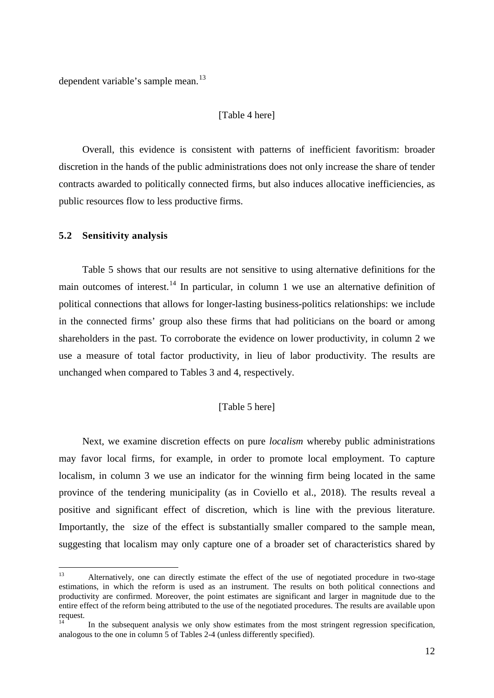dependent variable's sample mean.<sup>[13](#page-12-0)</sup>

#### [Table 4 here]

Overall, this evidence is consistent with patterns of inefficient favoritism: broader discretion in the hands of the public administrations does not only increase the share of tender contracts awarded to politically connected firms, but also induces allocative inefficiencies, as public resources flow to less productive firms.

#### **5.2 Sensitivity analysis**

Table 5 shows that our results are not sensitive to using alternative definitions for the main outcomes of interest.<sup>[14](#page-12-1)</sup> In particular, in column 1 we use an alternative definition of political connections that allows for longer-lasting business-politics relationships: we include in the connected firms' group also these firms that had politicians on the board or among shareholders in the past. To corroborate the evidence on lower productivity, in column 2 we use a measure of total factor productivity, in lieu of labor productivity. The results are unchanged when compared to Tables 3 and 4, respectively.

#### [Table 5 here]

Next, we examine discretion effects on pure *localism* whereby public administrations may favor local firms, for example, in order to promote local employment. To capture localism, in column 3 we use an indicator for the winning firm being located in the same province of the tendering municipality (as in Coviello et al., 2018). The results reveal a positive and significant effect of discretion, which is line with the previous literature. Importantly, the size of the effect is substantially smaller compared to the sample mean, suggesting that localism may only capture one of a broader set of characteristics shared by

<span id="page-12-0"></span> <sup>13</sup> Alternatively, one can directly estimate the effect of the use of negotiated procedure in two-stage estimations, in which the reform is used as an instrument. The results on both political connections and productivity are confirmed. Moreover, the point estimates are significant and larger in magnitude due to the entire effect of the reform being attributed to the use of the negotiated procedures. The results are available upon request.

<span id="page-12-1"></span>In the subsequent analysis we only show estimates from the most stringent regression specification, analogous to the one in column 5 of Tables 2-4 (unless differently specified).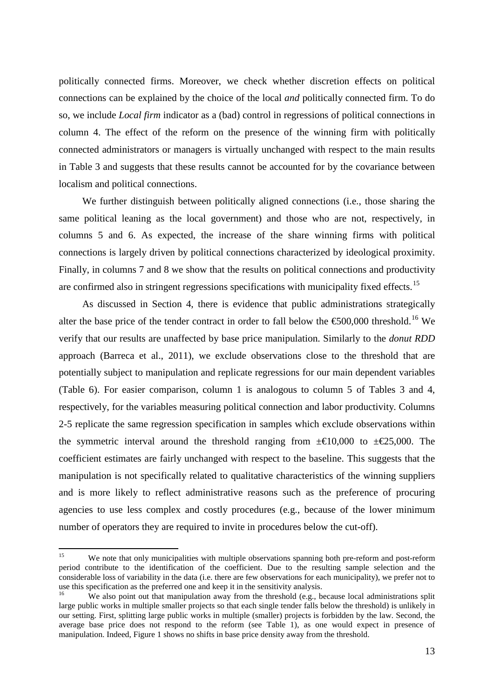politically connected firms. Moreover, we check whether discretion effects on political connections can be explained by the choice of the local *and* politically connected firm. To do so, we include *Local firm* indicator as a (bad) control in regressions of political connections in column 4. The effect of the reform on the presence of the winning firm with politically connected administrators or managers is virtually unchanged with respect to the main results in Table 3 and suggests that these results cannot be accounted for by the covariance between localism and political connections.

We further distinguish between politically aligned connections (i.e., those sharing the same political leaning as the local government) and those who are not, respectively, in columns 5 and 6. As expected, the increase of the share winning firms with political connections is largely driven by political connections characterized by ideological proximity. Finally, in columns 7 and 8 we show that the results on political connections and productivity are confirmed also in stringent regressions specifications with municipality fixed effects.<sup>[15](#page-13-0)</sup>

As discussed in Section 4, there is evidence that public administrations strategically alter the base price of the tender contract in order to fall below the  $\epsilon$ 600,000 threshold.<sup>[16](#page-13-1)</sup> We verify that our results are unaffected by base price manipulation. Similarly to the *donut RDD* approach (Barreca et al., 2011), we exclude observations close to the threshold that are potentially subject to manipulation and replicate regressions for our main dependent variables (Table 6). For easier comparison, column 1 is analogous to column 5 of Tables 3 and 4, respectively, for the variables measuring political connection and labor productivity*.* Columns 2-5 replicate the same regression specification in samples which exclude observations within the symmetric interval around the threshold ranging from  $\pm \epsilon 0.000$  to  $\pm \epsilon 25,000$ . The coefficient estimates are fairly unchanged with respect to the baseline. This suggests that the manipulation is not specifically related to qualitative characteristics of the winning suppliers and is more likely to reflect administrative reasons such as the preference of procuring agencies to use less complex and costly procedures (e.g., because of the lower minimum number of operators they are required to invite in procedures below the cut-off).

<span id="page-13-0"></span><sup>&</sup>lt;sup>15</sup> We note that only municipalities with multiple observations spanning both pre-reform and post-reform period contribute to the identification of the coefficient. Due to the resulting sample selection and the considerable loss of variability in the data (i.e. there are few observations for each municipality), we prefer not to use this specification as the preferred one and keep it in the sensitivity analysis.

<span id="page-13-1"></span>We also point out that manipulation away from the threshold (e.g., because local administrations split large public works in multiple smaller projects so that each single tender falls below the threshold) is unlikely in our setting. First, splitting large public works in multiple (smaller) projects is forbidden by the law. Second, the average base price does not respond to the reform (see Table 1), as one would expect in presence of manipulation. Indeed, Figure 1 shows no shifts in base price density away from the threshold.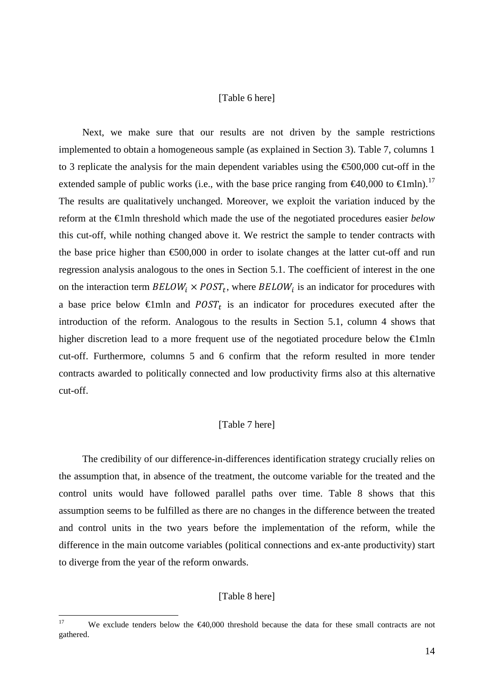#### [Table 6 here]

Next, we make sure that our results are not driven by the sample restrictions implemented to obtain a homogeneous sample (as explained in Section 3). Table 7, columns 1 to 3 replicate the analysis for the main dependent variables using the  $\epsilon$ 500,000 cut-off in the extended sample of public works (i.e., with the base price ranging from  $\epsilon 40,000$  to  $\epsilon$ lmln).<sup>[17](#page-14-0)</sup> The results are qualitatively unchanged. Moreover, we exploit the variation induced by the reform at the €1mln threshold which made the use of the negotiated procedures easier *below* this cut-off, while nothing changed above it. We restrict the sample to tender contracts with the base price higher than €500,000 in order to isolate changes at the latter cut-off and run regression analysis analogous to the ones in Section 5.1. The coefficient of interest in the one on the interaction term  $BELOW_i \times POST_t$ , where  $BELOW_i$  is an indicator for procedures with a base price below  $\in$ Imln and  $POST_t$  is an indicator for procedures executed after the introduction of the reform. Analogous to the results in Section 5.1, column 4 shows that higher discretion lead to a more frequent use of the negotiated procedure below the €1mln cut-off. Furthermore, columns 5 and 6 confirm that the reform resulted in more tender contracts awarded to politically connected and low productivity firms also at this alternative cut-off.

#### [Table 7 here]

The credibility of our difference-in-differences identification strategy crucially relies on the assumption that, in absence of the treatment, the outcome variable for the treated and the control units would have followed parallel paths over time. Table 8 shows that this assumption seems to be fulfilled as there are no changes in the difference between the treated and control units in the two years before the implementation of the reform, while the difference in the main outcome variables (political connections and ex-ante productivity) start to diverge from the year of the reform onwards.

#### [Table 8 here]

<span id="page-14-0"></span> <sup>17</sup> We exclude tenders below the €40,000 threshold because the data for these small contracts are not gathered.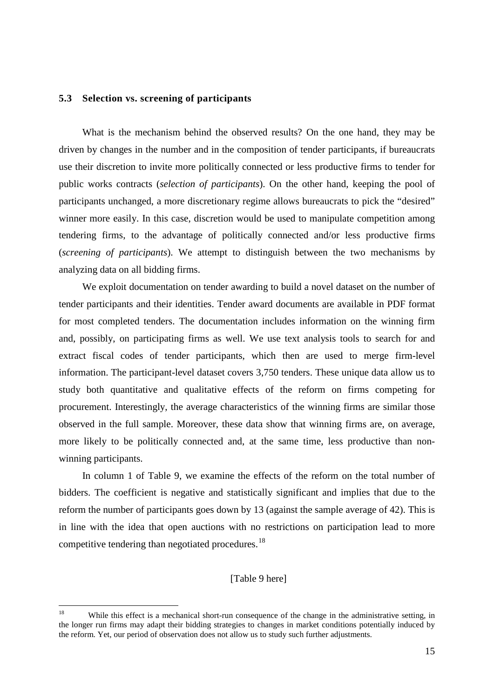#### **5.3 Selection vs. screening of participants**

What is the mechanism behind the observed results? On the one hand, they may be driven by changes in the number and in the composition of tender participants, if bureaucrats use their discretion to invite more politically connected or less productive firms to tender for public works contracts (*selection of participants*). On the other hand, keeping the pool of participants unchanged, a more discretionary regime allows bureaucrats to pick the "desired" winner more easily. In this case, discretion would be used to manipulate competition among tendering firms, to the advantage of politically connected and/or less productive firms (*screening of participants*). We attempt to distinguish between the two mechanisms by analyzing data on all bidding firms.

We exploit documentation on tender awarding to build a novel dataset on the number of tender participants and their identities. Tender award documents are available in PDF format for most completed tenders. The documentation includes information on the winning firm and, possibly, on participating firms as well. We use text analysis tools to search for and extract fiscal codes of tender participants, which then are used to merge firm-level information. The participant-level dataset covers 3,750 tenders. These unique data allow us to study both quantitative and qualitative effects of the reform on firms competing for procurement. Interestingly, the average characteristics of the winning firms are similar those observed in the full sample. Moreover, these data show that winning firms are, on average, more likely to be politically connected and, at the same time, less productive than nonwinning participants.

In column 1 of Table 9, we examine the effects of the reform on the total number of bidders. The coefficient is negative and statistically significant and implies that due to the reform the number of participants goes down by 13 (against the sample average of 42). This is in line with the idea that open auctions with no restrictions on participation lead to more competitive tendering than negotiated procedures.<sup>[18](#page-15-0)</sup>

#### [Table 9 here]

<span id="page-15-0"></span><sup>&</sup>lt;sup>18</sup> While this effect is a mechanical short-run consequence of the change in the administrative setting, in the longer run firms may adapt their bidding strategies to changes in market conditions potentially induced by the reform. Yet, our period of observation does not allow us to study such further adjustments.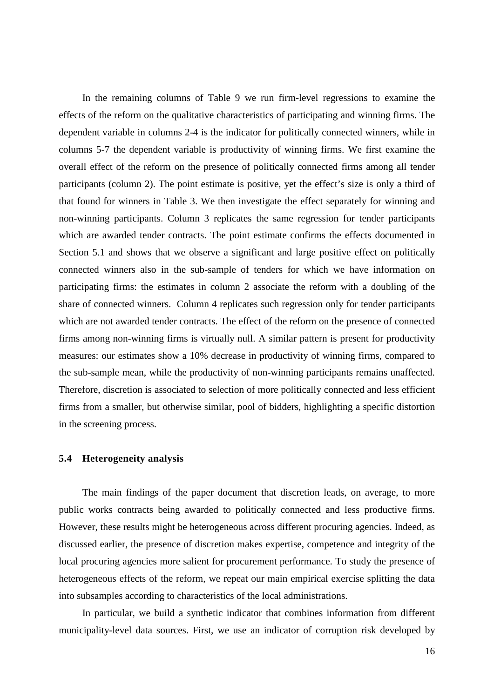In the remaining columns of Table 9 we run firm-level regressions to examine the effects of the reform on the qualitative characteristics of participating and winning firms. The dependent variable in columns 2-4 is the indicator for politically connected winners, while in columns 5-7 the dependent variable is productivity of winning firms. We first examine the overall effect of the reform on the presence of politically connected firms among all tender participants (column 2). The point estimate is positive, yet the effect's size is only a third of that found for winners in Table 3. We then investigate the effect separately for winning and non-winning participants. Column 3 replicates the same regression for tender participants which are awarded tender contracts. The point estimate confirms the effects documented in Section 5.1 and shows that we observe a significant and large positive effect on politically connected winners also in the sub-sample of tenders for which we have information on participating firms: the estimates in column 2 associate the reform with a doubling of the share of connected winners. Column 4 replicates such regression only for tender participants which are not awarded tender contracts. The effect of the reform on the presence of connected firms among non-winning firms is virtually null. A similar pattern is present for productivity measures: our estimates show a 10% decrease in productivity of winning firms, compared to the sub-sample mean, while the productivity of non-winning participants remains unaffected. Therefore, discretion is associated to selection of more politically connected and less efficient firms from a smaller, but otherwise similar, pool of bidders, highlighting a specific distortion in the screening process.

#### **5.4 Heterogeneity analysis**

The main findings of the paper document that discretion leads, on average, to more public works contracts being awarded to politically connected and less productive firms. However, these results might be heterogeneous across different procuring agencies. Indeed, as discussed earlier, the presence of discretion makes expertise, competence and integrity of the local procuring agencies more salient for procurement performance. To study the presence of heterogeneous effects of the reform, we repeat our main empirical exercise splitting the data into subsamples according to characteristics of the local administrations.

In particular, we build a synthetic indicator that combines information from different municipality-level data sources. First, we use an indicator of corruption risk developed by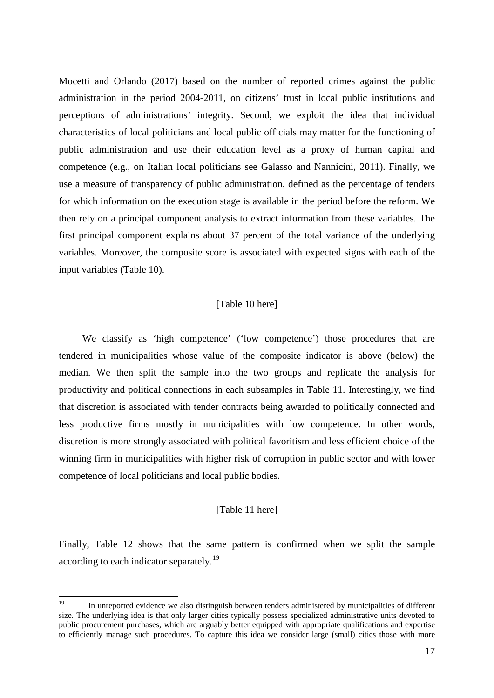Mocetti and Orlando (2017) based on the number of reported crimes against the public administration in the period 2004-2011, on citizens' trust in local public institutions and perceptions of administrations' integrity. Second, we exploit the idea that individual characteristics of local politicians and local public officials may matter for the functioning of public administration and use their education level as a proxy of human capital and competence (e.g., on Italian local politicians see Galasso and Nannicini, 2011). Finally, we use a measure of transparency of public administration, defined as the percentage of tenders for which information on the execution stage is available in the period before the reform. We then rely on a principal component analysis to extract information from these variables. The first principal component explains about 37 percent of the total variance of the underlying variables. Moreover, the composite score is associated with expected signs with each of the input variables (Table 10).

#### [Table 10 here]

We classify as 'high competence' ('low competence') those procedures that are tendered in municipalities whose value of the composite indicator is above (below) the median. We then split the sample into the two groups and replicate the analysis for productivity and political connections in each subsamples in Table 11. Interestingly, we find that discretion is associated with tender contracts being awarded to politically connected and less productive firms mostly in municipalities with low competence. In other words, discretion is more strongly associated with political favoritism and less efficient choice of the winning firm in municipalities with higher risk of corruption in public sector and with lower competence of local politicians and local public bodies.

#### [Table 11 here]

Finally, Table 12 shows that the same pattern is confirmed when we split the sample according to each indicator separately.<sup>[19](#page-17-0)</sup>

<span id="page-17-0"></span><sup>&</sup>lt;sup>19</sup> In unreported evidence we also distinguish between tenders administered by municipalities of different size. The underlying idea is that only larger cities typically possess specialized administrative units devoted to public procurement purchases, which are arguably better equipped with appropriate qualifications and expertise to efficiently manage such procedures. To capture this idea we consider large (small) cities those with more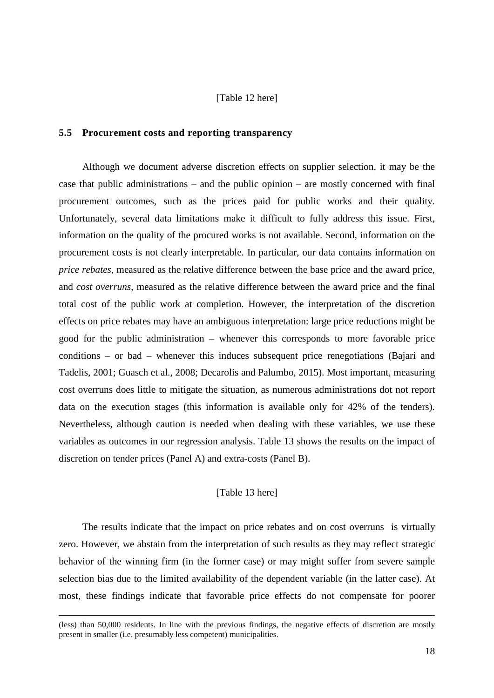#### [Table 12 here]

#### **5.5 Procurement costs and reporting transparency**

Although we document adverse discretion effects on supplier selection, it may be the case that public administrations – and the public opinion – are mostly concerned with final procurement outcomes, such as the prices paid for public works and their quality. Unfortunately, several data limitations make it difficult to fully address this issue. First, information on the quality of the procured works is not available. Second, information on the procurement costs is not clearly interpretable. In particular, our data contains information on *price rebates*, measured as the relative difference between the base price and the award price, and *cost overruns*, measured as the relative difference between the award price and the final total cost of the public work at completion. However, the interpretation of the discretion effects on price rebates may have an ambiguous interpretation: large price reductions might be good for the public administration – whenever this corresponds to more favorable price conditions – or bad – whenever this induces subsequent price renegotiations (Bajari and Tadelis, 2001; Guasch et al., 2008; Decarolis and Palumbo, 2015). Most important, measuring cost overruns does little to mitigate the situation, as numerous administrations dot not report data on the execution stages (this information is available only for 42% of the tenders). Nevertheless, although caution is needed when dealing with these variables, we use these variables as outcomes in our regression analysis. Table 13 shows the results on the impact of discretion on tender prices (Panel A) and extra-costs (Panel B).

#### [Table 13 here]

The results indicate that the impact on price rebates and on cost overruns is virtually zero. However, we abstain from the interpretation of such results as they may reflect strategic behavior of the winning firm (in the former case) or may might suffer from severe sample selection bias due to the limited availability of the dependent variable (in the latter case). At most, these findings indicate that favorable price effects do not compensate for poorer

<u>.</u>

<sup>(</sup>less) than 50,000 residents. In line with the previous findings, the negative effects of discretion are mostly present in smaller (i.e. presumably less competent) municipalities.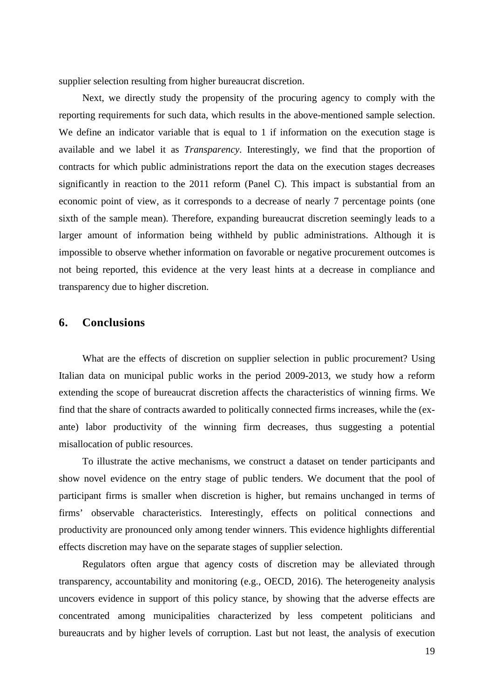supplier selection resulting from higher bureaucrat discretion.

Next, we directly study the propensity of the procuring agency to comply with the reporting requirements for such data, which results in the above-mentioned sample selection. We define an indicator variable that is equal to 1 if information on the execution stage is available and we label it as *Transparency*. Interestingly, we find that the proportion of contracts for which public administrations report the data on the execution stages decreases significantly in reaction to the 2011 reform (Panel C). This impact is substantial from an economic point of view, as it corresponds to a decrease of nearly 7 percentage points (one sixth of the sample mean). Therefore, expanding bureaucrat discretion seemingly leads to a larger amount of information being withheld by public administrations. Although it is impossible to observe whether information on favorable or negative procurement outcomes is not being reported, this evidence at the very least hints at a decrease in compliance and transparency due to higher discretion.

# **6. Conclusions**

What are the effects of discretion on supplier selection in public procurement? Using Italian data on municipal public works in the period 2009-2013, we study how a reform extending the scope of bureaucrat discretion affects the characteristics of winning firms. We find that the share of contracts awarded to politically connected firms increases, while the (exante) labor productivity of the winning firm decreases, thus suggesting a potential misallocation of public resources.

To illustrate the active mechanisms, we construct a dataset on tender participants and show novel evidence on the entry stage of public tenders. We document that the pool of participant firms is smaller when discretion is higher, but remains unchanged in terms of firms' observable characteristics. Interestingly, effects on political connections and productivity are pronounced only among tender winners. This evidence highlights differential effects discretion may have on the separate stages of supplier selection.

Regulators often argue that agency costs of discretion may be alleviated through transparency, accountability and monitoring (e.g., OECD, 2016). The heterogeneity analysis uncovers evidence in support of this policy stance, by showing that the adverse effects are concentrated among municipalities characterized by less competent politicians and bureaucrats and by higher levels of corruption. Last but not least, the analysis of execution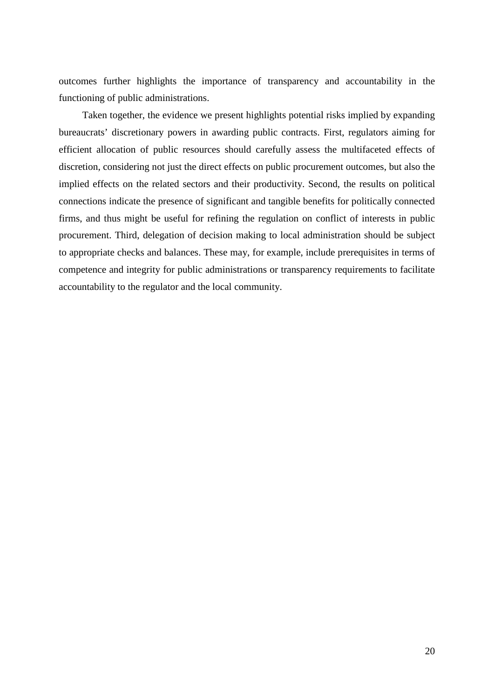outcomes further highlights the importance of transparency and accountability in the functioning of public administrations.

Taken together, the evidence we present highlights potential risks implied by expanding bureaucrats' discretionary powers in awarding public contracts. First, regulators aiming for efficient allocation of public resources should carefully assess the multifaceted effects of discretion, considering not just the direct effects on public procurement outcomes, but also the implied effects on the related sectors and their productivity. Second, the results on political connections indicate the presence of significant and tangible benefits for politically connected firms, and thus might be useful for refining the regulation on conflict of interests in public procurement. Third, delegation of decision making to local administration should be subject to appropriate checks and balances. These may, for example, include prerequisites in terms of competence and integrity for public administrations or transparency requirements to facilitate accountability to the regulator and the local community.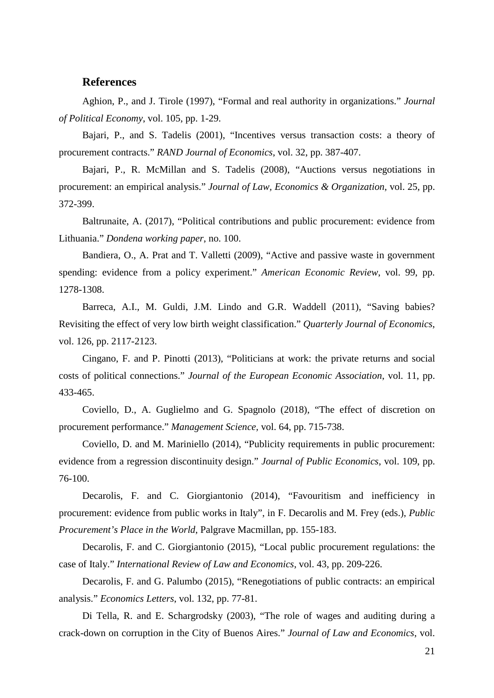#### **References**

Aghion, P., and J. Tirole (1997), "Formal and real authority in organizations." *Journal of Political Economy*, vol. 105, pp. 1-29.

Bajari, P., and S. Tadelis (2001), "Incentives versus transaction costs: a theory of procurement contracts." *RAND Journal of Economics*, vol. 32, pp. 387-407.

Bajari, P., R. McMillan and S. Tadelis (2008), "Auctions versus negotiations in procurement: an empirical analysis." *Journal of Law, Economics & Organization*, vol. 25, pp. 372-399.

Baltrunaite, A. (2017), "Political contributions and public procurement: evidence from Lithuania." *Dondena working paper*, no. 100.

Bandiera, O., A. Prat and T. Valletti (2009), "Active and passive waste in government spending: evidence from a policy experiment." *American Economic Review*, vol. 99, pp. 1278-1308.

Barreca, A.I., M. Guldi, J.M. Lindo and G.R. Waddell (2011), "Saving babies? Revisiting the effect of very low birth weight classification." *Quarterly Journal of Economics*, vol. 126, pp. 2117-2123.

Cingano, F. and P. Pinotti (2013), "Politicians at work: the private returns and social costs of political connections." *Journal of the European Economic Association*, vol. 11, pp. 433-465.

Coviello, D., A. Guglielmo and G. Spagnolo (2018), "The effect of discretion on procurement performance." *Management Science,* vol. 64, pp. 715-738.

Coviello, D. and M. Mariniello (2014), "Publicity requirements in public procurement: evidence from a regression discontinuity design." *Journal of Public Economics*, vol. 109, pp. 76-100.

Decarolis, F. and C. Giorgiantonio (2014), "Favouritism and inefficiency in procurement: evidence from public works in Italy", in F. Decarolis and M. Frey (eds.), *Public Procurement's Place in the World*, Palgrave Macmillan, pp. 155-183.

Decarolis, F. and C. Giorgiantonio (2015), "Local public procurement regulations: the case of Italy." *International Review of Law and Economics*, vol. 43, pp. 209-226.

Decarolis, F. and G. Palumbo (2015), "Renegotiations of public contracts: an empirical analysis." *Economics Letters*, vol. 132, pp. 77-81.

Di Tella, R. and E. Schargrodsky (2003), "The role of wages and auditing during a crack-down on corruption in the City of Buenos Aires." *Journal of Law and Economics*, vol.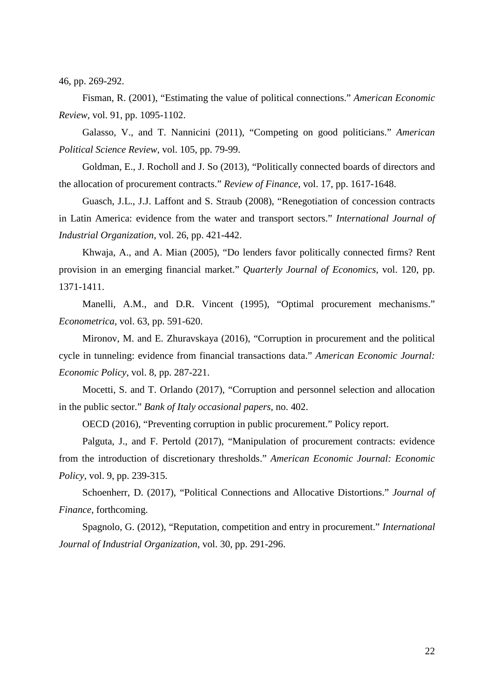46, pp. 269-292.

Fisman, R. (2001), "Estimating the value of political connections." *American Economic Review*, vol. 91, pp. 1095-1102.

Galasso, V., and T. Nannicini (2011), "Competing on good politicians." *American Political Science Review,* vol. 105, pp. 79-99.

Goldman, E., J. Rocholl and J. So (2013), "Politically connected boards of directors and the allocation of procurement contracts." *Review of Finance*, vol. 17, pp. 1617-1648.

Guasch, J.L., J.J. Laffont and S. Straub (2008), "Renegotiation of concession contracts in Latin America: evidence from the water and transport sectors." *International Journal of Industrial Organization*, vol. 26, pp. 421-442.

Khwaja, A., and A. Mian (2005), "Do lenders favor politically connected firms? Rent provision in an emerging financial market." *Quarterly Journal of Economics*, vol. 120, pp. 1371-1411.

Manelli, A.M., and D.R. Vincent (1995), "Optimal procurement mechanisms." *Econometrica*, vol. 63, pp. 591-620.

Mironov, M. and E. Zhuravskaya (2016), "Corruption in procurement and the political cycle in tunneling: evidence from financial transactions data." *American Economic Journal: Economic Policy*, vol. 8, pp. 287-221.

Mocetti, S. and T. Orlando (2017), "Corruption and personnel selection and allocation in the public sector." *Bank of Italy occasional papers*, no. 402.

OECD (2016), "Preventing corruption in public procurement." Policy report.

Palguta, J., and F. Pertold (2017), "Manipulation of procurement contracts: evidence from the introduction of discretionary thresholds." *American Economic Journal: Economic Policy*, vol. 9, pp. 239-315.

Schoenherr, D. (2017), "Political Connections and Allocative Distortions." *Journal of Finance,* forthcoming.

Spagnolo, G. (2012), "Reputation, competition and entry in procurement." *International Journal of Industrial Organization*, vol. 30, pp. 291-296.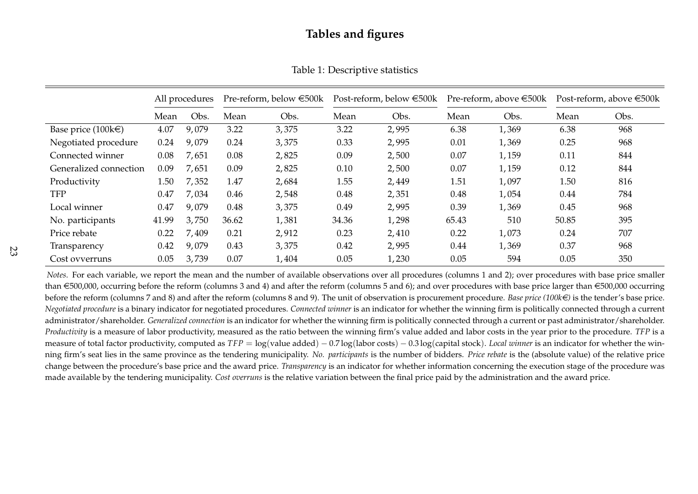|                             | All procedures |       | Post-reform, below $\in 500k$<br>Pre-reform, below $\in 500k$ |       |       | Pre-reform, above $\in 500k$ |       | Post-reform, above $\in 500k$ |       |      |
|-----------------------------|----------------|-------|---------------------------------------------------------------|-------|-------|------------------------------|-------|-------------------------------|-------|------|
|                             | Mean           | Obs.  | Mean                                                          | Obs.  | Mean  | Obs.                         | Mean  | Obs.                          | Mean  | Obs. |
| Base price $(100k\epsilon)$ | 4.07           | 9,079 | 3.22                                                          | 3,375 | 3.22  | 2,995                        | 6.38  | 1,369                         | 6.38  | 968  |
| Negotiated procedure        | 0.24           | 9,079 | 0.24                                                          | 3,375 | 0.33  | 2,995                        | 0.01  | 1,369                         | 0.25  | 968  |
| Connected winner            | 0.08           | 7,651 | 0.08                                                          | 2,825 | 0.09  | 2,500                        | 0.07  | 1,159                         | 0.11  | 844  |
| Generalized connection      | 0.09           | 7,651 | 0.09                                                          | 2,825 | 0.10  | 2,500                        | 0.07  | 1,159                         | 0.12  | 844  |
| Productivity                | 1.50           | 7,352 | 1.47                                                          | 2,684 | 1.55  | 2,449                        | 1.51  | 1,097                         | 1.50  | 816  |
| <b>TFP</b>                  | 0.47           | 7,034 | 0.46                                                          | 2,548 | 0.48  | 2,351                        | 0.48  | 1,054                         | 0.44  | 784  |
| Local winner                | 0.47           | 9,079 | 0.48                                                          | 3,375 | 0.49  | 2,995                        | 0.39  | 1,369                         | 0.45  | 968  |
| No. participants            | 41.99          | 3,750 | 36.62                                                         | 1,381 | 34.36 | 1,298                        | 65.43 | 510                           | 50.85 | 395  |
| Price rebate                | 0.22           | 7,409 | 0.21                                                          | 2,912 | 0.23  | 2,410                        | 0.22  | 1,073                         | 0.24  | 707  |
| Transparency                | 0.42           | 9,079 | 0.43                                                          | 3,375 | 0.42  | 2,995                        | 0.44  | 1,369                         | 0.37  | 968  |
| Cost ovverruns              | 0.05           | 3,739 | 0.07                                                          | 1,404 | 0.05  | 1,230                        | 0.05  | 594                           | 0.05  | 350  |

Table 1: Descriptive statistics

*Notes*. For each variable, we repor<sup>t</sup> the mean and the number of available observations over all procedures (columns <sup>1</sup> and 2); over procedures with base price smallerthan €500,000, occurring before the reform (columns 3 and 4) and after the reform (columns 5 and 6); and over procedures with base price larger than €500,000 occurring before the reform (columns <sup>7</sup> and 8) and after the reform (columns <sup>8</sup> and 9). The unit of observation is procuremen<sup>t</sup> procedure. *Base price (100k*e*)* is the tender's base price. *Negotiated procedure* is <sup>a</sup> binary indicator for negotiated procedures. *Connected winner* is an indicator for whether the winning firm is politically connected through <sup>a</sup> current administrator/shareholder. *Generalized connection* is an indicator for whether the winning firm is politically connected through <sup>a</sup> current or pas<sup>t</sup> administrator/shareholder. *Productivity* is <sup>a</sup> measure of labor productivity, measured as the ratio between the winning firm's value added and labor costs in the year prior to the procedure. *TFP* is <sup>a</sup> measure of total factor productivity, computed as *TFP* <sup>=</sup> log(value added) <sup>−</sup> 0.7 log(labor costs) <sup>−</sup> 0.3 log(capital stock). *Local winner* is an indicator for whether the winning firm's seat lies in the same province as the tendering municipality. *No. participants* is the number of bidders. *Price rebate* is the (absolute value) of the relative price change between the procedure's base price and the award price. *Transparency* is an indicator for whether information concerning the execution stage of the procedure was made available by the tendering municipality. *Cost overruns* is the relative variation between the final price paid by the administration and the award price.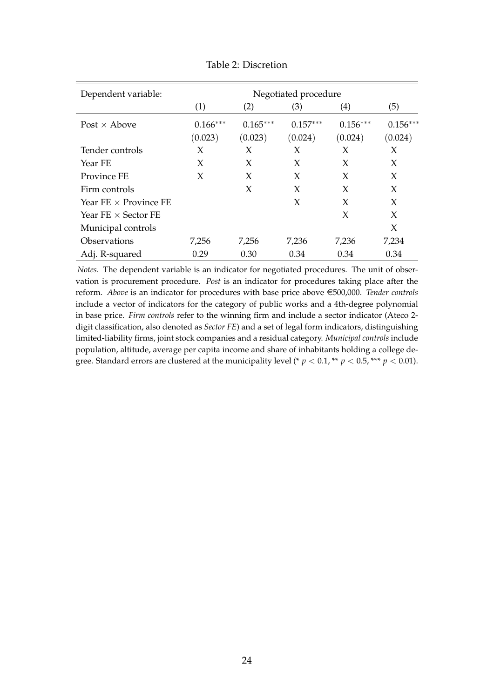| Dependent variable:            | Negotiated procedure |            |            |            |            |  |  |
|--------------------------------|----------------------|------------|------------|------------|------------|--|--|
|                                | (1)                  | (2)        | (3)        | (4)        | (5)        |  |  |
| Post $\times$ Above            | $0.166***$           | $0.165***$ | $0.157***$ | $0.156***$ | $0.156***$ |  |  |
|                                | (0.023)              | (0.023)    | (0.024)    | (0.024)    | (0.024)    |  |  |
| Tender controls                | X                    | X          | X          | X          | X          |  |  |
| Year FE                        | X                    | X          | X          | X          | X          |  |  |
| Province FE                    | X                    | X          | X          | $\chi$     | X          |  |  |
| Firm controls                  |                      | X          | X          | $\chi$     | X          |  |  |
| Year $FE \times$ Province $FE$ |                      |            | X          | X          | X          |  |  |
| Year FE $\times$ Sector FE     |                      |            |            | X          | X          |  |  |
| Municipal controls             |                      |            |            |            | X          |  |  |
| Observations                   | 7,256                | 7,256      | 7,236      | 7,236      | 7,234      |  |  |
| Adj. R-squared                 | 0.29                 | 0.30       | 0.34       | 0.34       | 0.34       |  |  |

Table 2: Discretion

*Notes*. The dependent variable is an indicator for negotiated procedures. The unit of observation is procurement procedure. *Post* is an indicator for procedures taking place after the reform. *Above* is an indicator for procedures with base price above €500,000. *Tender controls* include a vector of indicators for the category of public works and a 4th-degree polynomial in base price. *Firm controls* refer to the winning firm and include a sector indicator (Ateco 2 digit classification, also denoted as *Sector FE*) and a set of legal form indicators, distinguishing limited-liability firms, joint stock companies and a residual category. *Municipal controls* include population, altitude, average per capita income and share of inhabitants holding a college degree. Standard errors are clustered at the municipality level (\*  $p < 0.1$ , \*\*  $p < 0.5$ , \*\*\*  $p < 0.01$ ).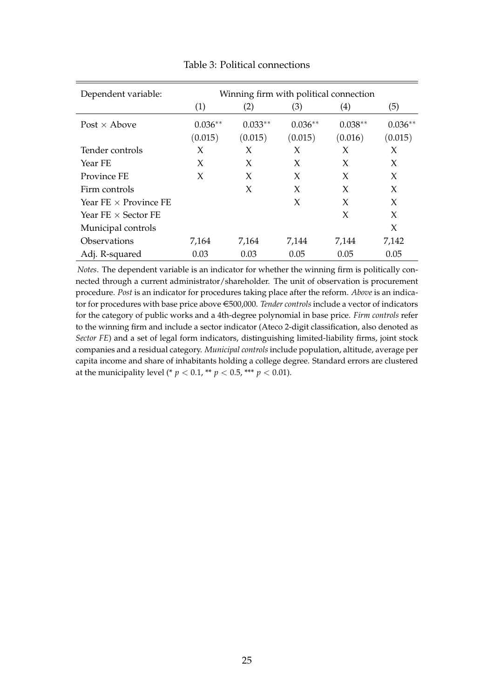| Dependent variable:            | Winning firm with political connection |           |           |           |           |  |  |
|--------------------------------|----------------------------------------|-----------|-----------|-----------|-----------|--|--|
|                                | (1)                                    | (2)       | (3)       | (4)       | (5)       |  |  |
| Post $\times$ Above            | $0.036**$                              | $0.033**$ | $0.036**$ | $0.038**$ | $0.036**$ |  |  |
|                                | (0.015)                                | (0.015)   | (0.015)   | (0.016)   | (0.015)   |  |  |
| Tender controls                | X                                      | X         | X         | X         | X         |  |  |
| Year FE                        | X                                      | X         | X         | X         | X         |  |  |
| Province FE                    | X                                      | X         | X         | X         | X         |  |  |
| Firm controls                  |                                        | X         | X         | X         | X         |  |  |
| Year $FE \times$ Province $FE$ |                                        |           | X         | X         | X         |  |  |
| Year FE $\times$ Sector FE     |                                        |           |           | X         | X         |  |  |
| Municipal controls             |                                        |           |           |           | X         |  |  |
| Observations                   | 7,164                                  | 7,164     | 7,144     | 7,144     | 7,142     |  |  |
| Adj. R-squared                 | 0.03                                   | 0.03      | 0.05      | 0.05      | 0.05      |  |  |

#### Table 3: Political connections

*Notes*. The dependent variable is an indicator for whether the winning firm is politically connected through a current administrator/shareholder. The unit of observation is procurement procedure. *Post* is an indicator for procedures taking place after the reform. *Above* is an indicator for procedures with base price above e500,000. *Tender controls* include a vector of indicators for the category of public works and a 4th-degree polynomial in base price. *Firm controls* refer to the winning firm and include a sector indicator (Ateco 2-digit classification, also denoted as *Sector FE*) and a set of legal form indicators, distinguishing limited-liability firms, joint stock companies and a residual category. *Municipal controls* include population, altitude, average per capita income and share of inhabitants holding a college degree. Standard errors are clustered at the municipality level (\*  $p < 0.1$ , \*\*  $p < 0.5$ , \*\*\*  $p < 0.01$ ).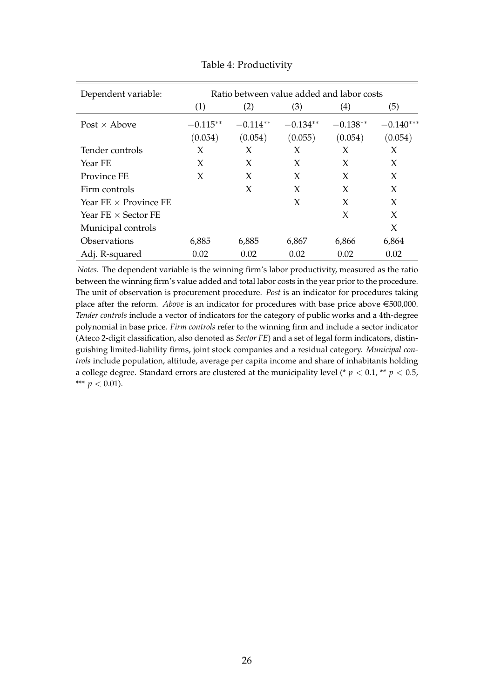| Dependent variable:            | Ratio between value added and labor costs |            |            |                   |             |  |
|--------------------------------|-------------------------------------------|------------|------------|-------------------|-------------|--|
|                                | (1)                                       | (2)        | (3)        | $\left( 4\right)$ | (5)         |  |
| Post $\times$ Above            | $-0.115**$                                | $-0.114**$ | $-0.134**$ | $-0.138**$        | $-0.140***$ |  |
|                                | (0.054)                                   | (0.054)    | (0.055)    | (0.054)           | (0.054)     |  |
| Tender controls                | X                                         | X          | X          | X                 | X           |  |
| Year FE                        | X                                         | X          | X          | X                 | X           |  |
| Province FE                    | X                                         | X          | X          | X                 | X           |  |
| Firm controls                  |                                           | X          | X          | X                 | X           |  |
| Year $FE \times$ Province $FE$ |                                           |            | X          | X                 | X           |  |
| Year FE $\times$ Sector FE     |                                           |            |            | X                 | X           |  |
| Municipal controls             |                                           |            |            |                   | X           |  |
| Observations                   | 6,885                                     | 6,885      | 6,867      | 6,866             | 6,864       |  |
| Adj. R-squared                 | 0.02                                      | 0.02       | 0.02       | 0.02              | 0.02        |  |

Table 4: Productivity

*Notes*. The dependent variable is the winning firm's labor productivity, measured as the ratio between the winning firm's value added and total labor costs in the year prior to the procedure. The unit of observation is procurement procedure. *Post* is an indicator for procedures taking place after the reform. *Above* is an indicator for procedures with base price above €500,000. *Tender controls* include a vector of indicators for the category of public works and a 4th-degree polynomial in base price. *Firm controls* refer to the winning firm and include a sector indicator (Ateco 2-digit classification, also denoted as *Sector FE*) and a set of legal form indicators, distinguishing limited-liability firms, joint stock companies and a residual category. *Municipal controls* include population, altitude, average per capita income and share of inhabitants holding a college degree. Standard errors are clustered at the municipality level (\*  $p < 0.1$ , \*\*  $p < 0.5$ , \*\*\*  $p < 0.01$ ).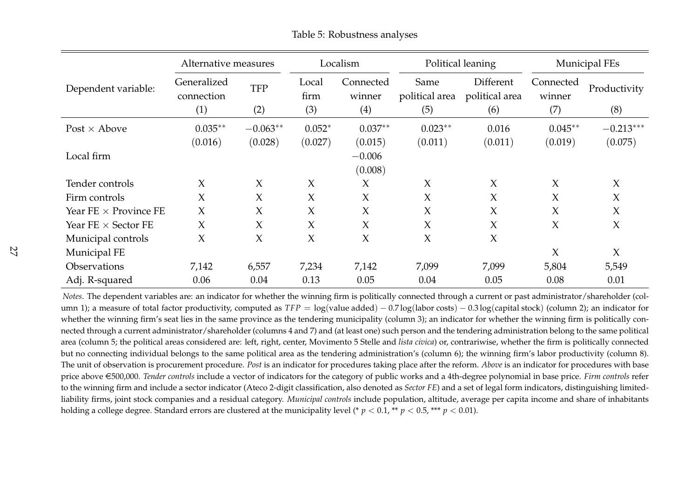|                                | Alternative measures      |            | Localism      |                     | Political leaning      |                             | <b>Municipal FEs</b> |              |
|--------------------------------|---------------------------|------------|---------------|---------------------|------------------------|-----------------------------|----------------------|--------------|
| Dependent variable:            | Generalized<br>connection | <b>TFP</b> | Local<br>firm | Connected<br>winner | Same<br>political area | Different<br>political area | Connected<br>winner  | Productivity |
|                                | (1)                       | (2)        | (3)           | (4)                 | (5)                    | (6)                         | (7)                  | (8)          |
| Post $\times$ Above            | $0.035**$                 | $-0.063**$ | $0.052*$      | $0.037**$           | $0.023**$              | 0.016                       | $0.045**$            | $-0.213***$  |
|                                | (0.016)                   | (0.028)    | (0.027)       | (0.015)             | (0.011)                | (0.011)                     | (0.019)              | (0.075)      |
| Local firm                     |                           |            |               | $-0.006$            |                        |                             |                      |              |
|                                |                           |            |               | (0.008)             |                        |                             |                      |              |
| Tender controls                | $\chi$                    | $\chi$     | $\chi$        | $\chi$              | $\chi$                 | $\chi$                      | $\chi$               | $\chi$       |
| Firm controls                  | $\chi$                    | $\chi$     | $\chi$        | $\chi$              | $\chi$                 | $\chi$                      | $\chi$               | $\chi$       |
| Year $FE \times$ Province $FE$ | $\chi$                    | $\chi$     | $\chi$        | $\chi$              | $\chi$                 | $\chi$                      | X                    | $\chi$       |
| Year $FE \times$ Sector $FE$   | $\chi$                    | $\chi$     | $\chi$        | $\chi$              | $\chi$                 | $\chi$                      | $\chi$               | $\chi$       |
| Municipal controls             | $\chi$                    | $\chi$     | $\chi$        | $\chi$              | $\chi$                 | $\chi$                      |                      |              |
| Municipal FE                   |                           |            |               |                     |                        |                             | $\chi$               | $\chi$       |
| Observations                   | 7,142                     | 6,557      | 7,234         | 7,142               | 7,099                  | 7,099                       | 5,804                | 5,549        |
| Adj. R-squared                 | 0.06                      | 0.04       | 0.13          | 0.05                | 0.04                   | 0.05                        | 0.08                 | 0.01         |

Table 5: Robustness analyses

*Notes*. The dependent variables are: an indicator for whether the winning firm is politically connected through a current or past administrator/shareholder (column 1); <sup>a</sup> measure of total factor productivity, computed as *TFP* <sup>=</sup> log(value added) <sup>−</sup> 0.7 log(labor costs) <sup>−</sup> 0.3 log(capital stock) (column 2); an indicator for whether the winning firm's seat lies in the same province as the tendering municipality (column 3); an indicator for whether the winning firm is politically connected through <sup>a</sup> current administrator/shareholder (columns <sup>4</sup> and 7) and (at least one) such person and the tendering administration belong to the same politicalarea (column 5; the political areas considered are: left, right, center, Movimento 5 Stelle and *lista civica*) or, contrariwise, whether the firm is politically connected but no connecting individual belongs to the same political area as the tendering administration's (column 6); the winning firm's labor productivity (column 8). The unit of observation is procuremen<sup>t</sup> procedure. *Post* is an indicator for procedures taking place after the reform. *Above* is an indicator for procedures with base price above <sup>e</sup>500,000. *Tender controls* include <sup>a</sup> vector of indicators for the category of public works and <sup>a</sup> 4th-degree polynomial in base price. *Firm controls* refer to the winning firm and include <sup>a</sup> sector indicator (Ateco 2-digit classification, also denoted as *Sector FE*) and <sup>a</sup> set of legal form indicators, distinguishing limitedliability firms, joint stock companies and <sup>a</sup> residual category. *Municipal controls* include population, altitude, average per capita income and share of inhabitantsholding a college degree. Standard errors are clustered at the municipality level (\*  $p < 0.1$ , \*\*  $p < 0.5$ , \*\*\*  $p < 0.01$ ).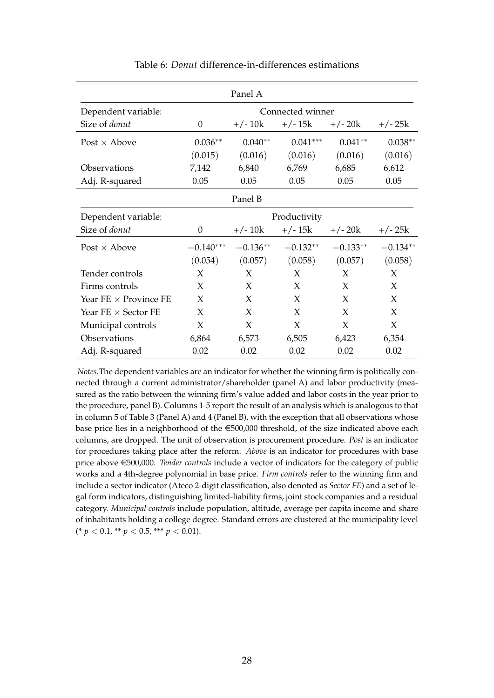|                                |                  | Panel A    |              |            |            |  |  |
|--------------------------------|------------------|------------|--------------|------------|------------|--|--|
| Dependent variable:            | Connected winner |            |              |            |            |  |  |
| Size of <i>donut</i>           | $\theta$         | $+/- 10k$  | $+/- 15k$    | $+/- 20k$  | $+/- 25k$  |  |  |
| Post $\times$ Above            | $0.036**$        | $0.040**$  | $0.041***$   | $0.041**$  | $0.038**$  |  |  |
|                                | (0.015)          | (0.016)    | (0.016)      | (0.016)    | (0.016)    |  |  |
| Observations                   | 7,142            | 6,840      | 6,769        | 6,685      | 6,612      |  |  |
| Adj. R-squared                 | 0.05             | 0.05       | 0.05         | 0.05       | 0.05       |  |  |
|                                |                  | Panel B    |              |            |            |  |  |
| Dependent variable:            |                  |            | Productivity |            |            |  |  |
| Size of donut                  | $\theta$         | $+/- 10k$  | $+/- 15k$    | $+/- 20k$  | $+/- 25k$  |  |  |
| Post $\times$ Above            | $-0.140***$      | $-0.136**$ | $-0.132**$   | $-0.133**$ | $-0.134**$ |  |  |
|                                | (0.054)          | (0.057)    | (0.058)      | (0.057)    | (0.058)    |  |  |
| Tender controls                | X                | X          | X            | X          | X          |  |  |
| Firms controls                 | X                | $\chi$     | X            | X          | X          |  |  |
| Year $FE \times$ Province $FE$ | X                | X          | X            | X          | X          |  |  |
| Year $FE \times$ Sector $FE$   | X                | $\chi$     | X            | X          | X          |  |  |
| Municipal controls             | X                | X          | X            | X          | X          |  |  |
| Observations                   | 6,864            | 6,573      | 6,505        | 6,423      | 6,354      |  |  |
| Adj. R-squared                 | 0.02             | 0.02       | 0.02         | 0.02       | 0.02       |  |  |

Table 6: *Donut* difference-in-differences estimations

*Notes*.The dependent variables are an indicator for whether the winning firm is politically connected through a current administrator/shareholder (panel A) and labor productivity (measured as the ratio between the winning firm's value added and labor costs in the year prior to the procedure, panel B). Columns 1-5 report the result of an analysis which is analogous to that in column 5 of Table 3 (Panel A) and 4 (Panel B), with the exception that all observations whose base price lies in a neighborhood of the €500,000 threshold, of the size indicated above each columns, are dropped. The unit of observation is procurement procedure. *Post* is an indicator for procedures taking place after the reform. *Above* is an indicator for procedures with base price above €500,000. *Tender controls* include a vector of indicators for the category of public works and a 4th-degree polynomial in base price. *Firm controls* refer to the winning firm and include a sector indicator (Ateco 2-digit classification, also denoted as *Sector FE*) and a set of legal form indicators, distinguishing limited-liability firms, joint stock companies and a residual category. *Municipal controls* include population, altitude, average per capita income and share of inhabitants holding a college degree. Standard errors are clustered at the municipality level  $(* p < 0.1, ** p < 0.5, ** p < 0.01).$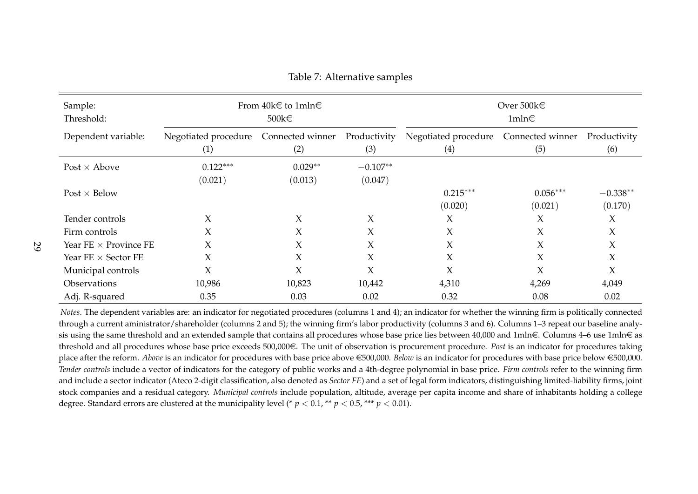| Sample:<br>Threshold:          |                                              | From $40k \in \mathfrak{t}$ o 1mln $\in$<br>$500k \in$ |                       | Over $500k \in$<br>1mln€    |                         |                       |
|--------------------------------|----------------------------------------------|--------------------------------------------------------|-----------------------|-----------------------------|-------------------------|-----------------------|
| Dependent variable:            | Negotiated procedure Connected winner<br>(1) | (2)                                                    | Productivity<br>(3)   | Negotiated procedure<br>(4) | Connected winner<br>(5) | Productivity<br>(6)   |
| Post $\times$ Above            | $0.122***$<br>(0.021)                        | $0.029**$<br>(0.013)                                   | $-0.107**$<br>(0.047) |                             |                         |                       |
| Post $\times$ Below            |                                              |                                                        |                       | $0.215***$<br>(0.020)       | $0.056***$<br>(0.021)   | $-0.338**$<br>(0.170) |
| Tender controls                | X                                            | $\chi$                                                 | X                     | X                           | X                       | X                     |
| Firm controls                  | X                                            | X                                                      | $\chi$                | X                           | X                       | X                     |
| Year $FE \times$ Province $FE$ | X                                            | $\chi$                                                 | $\chi$                | X                           | $\chi$                  | $\chi$                |
| Year $FE \times Sector$ FE     | $\chi$                                       | $\chi$                                                 | X                     | X                           | X                       | $\chi$                |
| Municipal controls             | X                                            | X                                                      | $\chi$                | X                           | $\chi$                  | X                     |
| Observations                   | 10,986                                       | 10,823                                                 | 10,442                | 4,310                       | 4,269                   | 4,049                 |
| Adj. R-squared                 | 0.35                                         | 0.03                                                   | 0.02                  | 0.32                        | 0.08                    | 0.02                  |

Table 7: Alternative samples

*Notes*. The dependent variables are: an indicator for negotiated procedures (columns <sup>1</sup> and 4); an indicator for whether the winning firm is politically connected through <sup>a</sup> current aministrator/shareholder (columns <sup>2</sup> and 5); the winning firm's labor productivity (columns 3 and 6). Columns 1–3 repea<sup>t</sup> our baseline analysis using the same threshold and an extended sample that contains all procedures whose base price lies between  $40,000$  and  $1$ mln $\in$ . Columns  $4$ –6 use  $1$ mln $\in$  as threshold and all procedures whose base price exceeds 500,000€. The unit of observation is procurement procedure. *Post* is an indicator for procedures taking place after the reform. *Above* is an indicator for procedures with base price above €500,000. *Below* is an indicator for procedures with base price below €500,000. *Tender controls* include <sup>a</sup> vector of indicators for the category of public works and <sup>a</sup> 4th-degree polynomial in base price. *Firm controls* refer to the winning firm and include <sup>a</sup> sector indicator (Ateco 2-digit classification, also denoted as *Sector FE*) and <sup>a</sup> set of legal form indicators, distinguishing limited-liability firms, joint stock companies and <sup>a</sup> residual category. *Municipal controls* include population, altitude, average per capita income and share of inhabitants holding <sup>a</sup> collegedegree. Standard errors are clustered at the municipality level (\*  $p < 0.1$ , \*\*  $p < 0.5$ , \*\*\*  $p < 0.01$ ).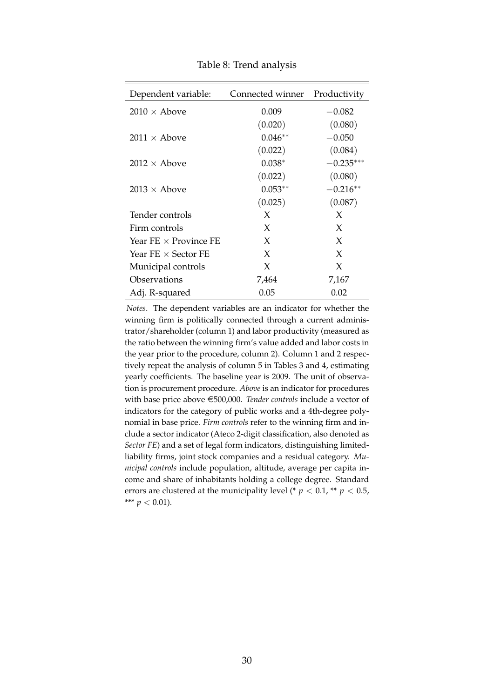| Dependent variable:            | Connected winner | Productivity |
|--------------------------------|------------------|--------------|
| $2010 \times$ Above            | 0.009            | $-0.082$     |
|                                | (0.020)          | (0.080)      |
| $2011 \times$ Above            | $0.046**$        | $-0.050$     |
|                                | (0.022)          | (0.084)      |
| $2012 \times$ Above            | $0.038*$         | $-0.235***$  |
|                                | (0.022)          | (0.080)      |
| $2013 \times$ Above            | $0.053**$        | $-0.216**$   |
|                                | (0.025)          | (0.087)      |
| Tender controls                | X                | X            |
| Firm controls                  | X                | X            |
| Year $FE \times$ Province $FE$ | X                | X            |
| Year FE $\times$ Sector FE     | X                | X            |
| Municipal controls             | X                | X            |
| Observations                   | 7,464            | 7,167        |
| Adj. R-squared                 | 0.05             | 0.02         |

Table 8: Trend analysis

*Notes*. The dependent variables are an indicator for whether the winning firm is politically connected through a current administrator/shareholder (column 1) and labor productivity (measured as the ratio between the winning firm's value added and labor costs in the year prior to the procedure, column 2). Column 1 and 2 respectively repeat the analysis of column 5 in Tables 3 and 4, estimating yearly coefficients. The baseline year is 2009. The unit of observation is procurement procedure. *Above* is an indicator for procedures with base price above €500,000. *Tender controls* include a vector of indicators for the category of public works and a 4th-degree polynomial in base price. *Firm controls* refer to the winning firm and include a sector indicator (Ateco 2-digit classification, also denoted as *Sector FE*) and a set of legal form indicators, distinguishing limitedliability firms, joint stock companies and a residual category. *Municipal controls* include population, altitude, average per capita income and share of inhabitants holding a college degree. Standard errors are clustered at the municipality level (\*  $p < 0.1$ , \*\*  $p < 0.5$ , \*\*\*  $p < 0.01$ ).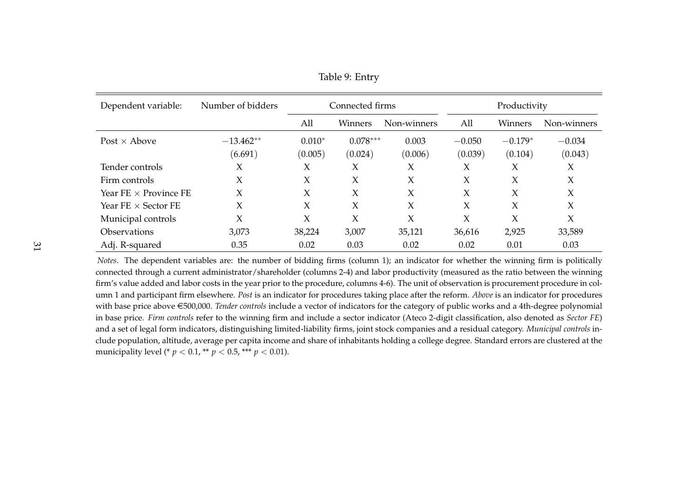| Dependent variable:            | Number of bidders      |                     | Connected firms       |                  |                     | Productivity         |                     |  |
|--------------------------------|------------------------|---------------------|-----------------------|------------------|---------------------|----------------------|---------------------|--|
|                                |                        | All                 | Winners               | Non-winners      | All                 | Winners              | Non-winners         |  |
| Post $\times$ Above            | $-13.462**$<br>(6.691) | $0.010*$<br>(0.005) | $0.078***$<br>(0.024) | 0.003<br>(0.006) | $-0.050$<br>(0.039) | $-0.179*$<br>(0.104) | $-0.034$<br>(0.043) |  |
| Tender controls                | X                      | X                   | X                     | $\chi$           | X                   | X                    | X                   |  |
| Firm controls                  | X                      | X                   | $\chi$                | $\chi$           | $\chi$              | $\chi$               | $\chi$              |  |
| Year $FE \times$ Province $FE$ | X                      | X                   | $\chi$                | $\chi$           | X                   | $\chi$               | X                   |  |
| Year $FE \times Sector$ FE     | X                      | X                   | $\chi$                | $\chi$           | X                   | X                    | X                   |  |
| Municipal controls             | X                      | X                   | X                     | X                | X                   | X                    | X                   |  |
| <b>Observations</b>            | 3,073                  | 38,224              | 3,007                 | 35,121           | 36,616              | 2,925                | 33,589              |  |
| Adj. R-squared                 | 0.35                   | 0.02                | 0.03                  | 0.02             | 0.02                | 0.01                 | 0.03                |  |

Table 9: Entry

*Notes*. The dependent variables are: the number of bidding firms (column 1); an indicator for whether the winning firm is politically connected through <sup>a</sup> current administrator/shareholder (columns 2-4) and labor productivity (measured as the ratio between the winning firm's value added and labor costs in the year prior to the procedure, columns 4-6). The unit of observation is procuremen<sup>t</sup> procedure in column <sup>1</sup> and participant firm elsewhere. *Post* is an indicator for procedures taking place after the reform. *Above* is an indicator for procedureswith base price above €500,000. *Tender controls* include a vector of indicators for the category of public works and a 4th-degree polynomial in base price. *Firm controls* refer to the winning firm and include <sup>a</sup> sector indicator (Ateco 2-digit classification, also denoted as *Sector FE*) and <sup>a</sup> set of legal form indicators, distinguishing limited-liability firms, joint stock companies and <sup>a</sup> residual category. *Municipal controls* include population, altitude, average per capita income and share of inhabitants holding <sup>a</sup> college degree. Standard errors are clustered at themunicipality level (\*  $p < 0.1$ , \*\*  $p < 0.5$ , \*\*\*  $p < 0.01$ ).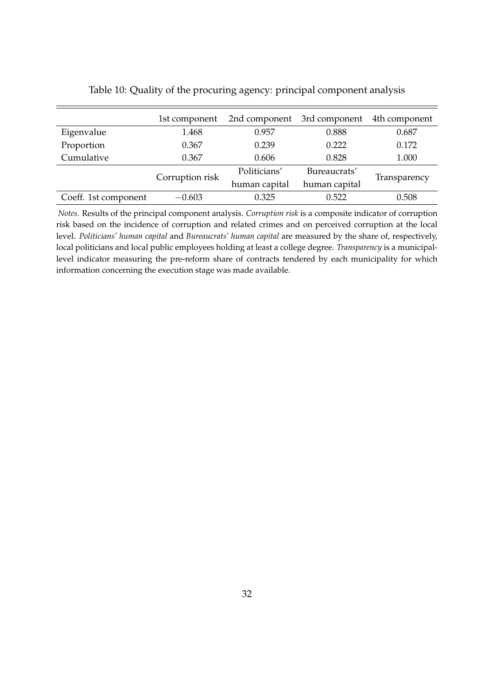|                      | 1st component   | 2nd component 3rd component |               | 4th component |
|----------------------|-----------------|-----------------------------|---------------|---------------|
| Eigenvalue           | 1.468           | 0.957                       | 0.888         | 0.687         |
| Proportion           | 0.367           | 0.239                       | 0.222         | 0.172         |
| Cumulative           | 0.367           | 0.606                       | 0.828         | 1.000         |
|                      | Corruption risk | Politicians'                | Bureaucrats'  |               |
|                      |                 | human capital               | human capital | Transparency  |
| Coeff. 1st component | $-0.603$        | 0.325                       | 0.522         | 0.508         |

Table 10: Quality of the procuring agency: principal component analysis

*Notes*. Results of the principal component analysis. *Corruption risk* is a composite indicator of corruption risk based on the incidence of corruption and related crimes and on perceived corruption at the local level. *Politicians' human capital* and *Bureaucrats' human capital* are measured by the share of, respectively, local politicians and local public employees holding at least a college degree. *Transparency* is a municipallevel indicator measuring the pre-reform share of contracts tendered by each municipality for which information concerning the execution stage was made available.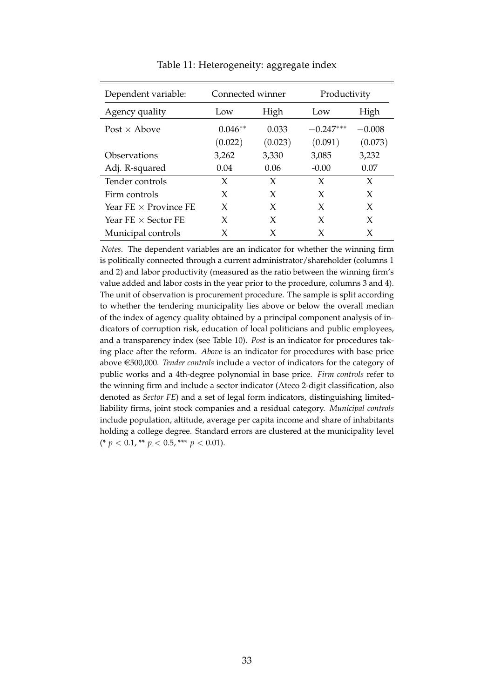| Dependent variable:            | Connected winner |         | Productivity |          |  |
|--------------------------------|------------------|---------|--------------|----------|--|
| Agency quality                 | High<br>Low      |         | Low          | High     |  |
| Post $\times$ Above            | $0.046**$        | 0.033   | $-0.247***$  | $-0.008$ |  |
|                                | (0.022)          | (0.023) | (0.091)      | (0.073)  |  |
| Observations                   | 3,262            | 3,330   | 3,085        | 3,232    |  |
| Adj. R-squared                 | 0.04             | 0.06    | $-0.00$      | 0.07     |  |
| Tender controls                | X                | X       | X            | X        |  |
| Firm controls                  | X                | X       | X            | X        |  |
| Year $FE \times$ Province $FE$ | X                | X       | X            | X        |  |
| Year $FE \times Sector$ FE     | X                | X       | X            | X        |  |
| Municipal controls             | X                | X       | X            | X        |  |

Table 11: Heterogeneity: aggregate index

*Notes*. The dependent variables are an indicator for whether the winning firm is politically connected through a current administrator/shareholder (columns 1 and 2) and labor productivity (measured as the ratio between the winning firm's value added and labor costs in the year prior to the procedure, columns 3 and 4). The unit of observation is procurement procedure. The sample is split according to whether the tendering municipality lies above or below the overall median of the index of agency quality obtained by a principal component analysis of indicators of corruption risk, education of local politicians and public employees, and a transparency index (see Table 10). *Post* is an indicator for procedures taking place after the reform. *Above* is an indicator for procedures with base price above e500,000. *Tender controls* include a vector of indicators for the category of public works and a 4th-degree polynomial in base price. *Firm controls* refer to the winning firm and include a sector indicator (Ateco 2-digit classification, also denoted as *Sector FE*) and a set of legal form indicators, distinguishing limitedliability firms, joint stock companies and a residual category. *Municipal controls* include population, altitude, average per capita income and share of inhabitants holding a college degree. Standard errors are clustered at the municipality level  $(* p < 0.1, ** p < 0.5, ** p < 0.01).$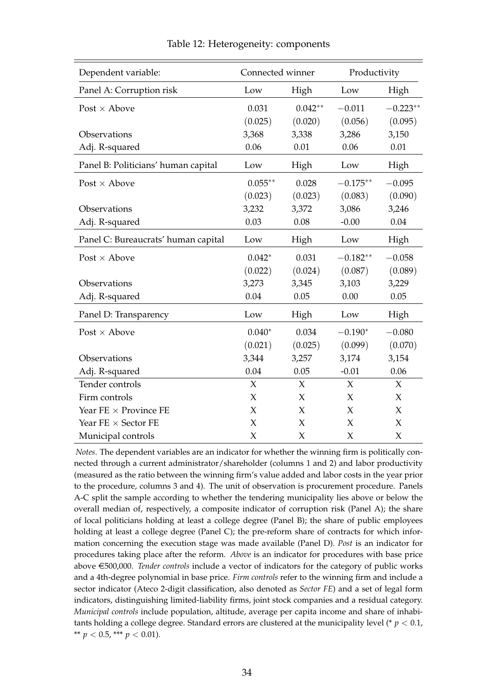| Dependent variable:                 | Connected winner |                      | Productivity        |                       |
|-------------------------------------|------------------|----------------------|---------------------|-----------------------|
| Panel A: Corruption risk            | Low              | High                 | Low                 | High                  |
| Post $\times$ Above                 | 0.031<br>(0.025) | $0.042**$<br>(0.020) | $-0.011$<br>(0.056) | $-0.223**$<br>(0.095) |
| Observations                        | 3,368            | 3,338                | 3,286               | 3,150                 |
| Adj. R-squared                      | 0.06             | 0.01                 | 0.06                | 0.01                  |
| Panel B: Politicians' human capital | Low              | High                 | Low                 | High                  |
| Post $\times$ Above                 | $0.055**$        | 0.028                | $-0.175**$          | $-0.095$              |
|                                     | (0.023)          | (0.023)              | (0.083)             | (0.090)               |
| Observations                        | 3,232            | 3,372                | 3,086               | 3,246                 |
| Adj. R-squared                      | 0.03             | 0.08                 | $-0.00$             | 0.04                  |
| Panel C: Bureaucrats' human capital | Low              | High                 | Low                 | High                  |
| Post $\times$ Above                 | $0.042*$         | 0.031                | $-0.182**$          | $-0.058$              |
|                                     | (0.022)          | (0.024)              | (0.087)             | (0.089)               |
| Observations                        | 3,273            | 3,345                | 3,103               | 3,229                 |
| Adj. R-squared                      | 0.04             | 0.05                 | 0.00                | 0.05                  |
| Panel D: Transparency               | Low              | High                 | Low                 | High                  |
| Post $\times$ Above                 | $0.040*$         | 0.034                | $-0.190*$           | $-0.080$              |
|                                     | (0.021)          | (0.025)              | (0.099)             | (0.070)               |
| Observations                        | 3,344            | 3,257                | 3,174               | 3,154                 |
| Adj. R-squared                      | 0.04             | 0.05                 | $-0.01$             | 0.06                  |
| Tender controls                     | $\chi$           | $\chi$               | $\chi$              | $\chi$                |
| Firm controls                       | X                | X                    | X                   | X                     |
| Year $FE \times$ Province $FE$      | $\chi$           | $\chi$               | $\chi$              | $\chi$                |
| Year $FE \times$ Sector $FE$        | X                | X                    | X                   | X                     |
| Municipal controls                  | $\chi$           | $\chi$               | $\chi$              | $\chi$                |

*Notes*. The dependent variables are an indicator for whether the winning firm is politically connected through a current administrator/shareholder (columns 1 and 2) and labor productivity (measured as the ratio between the winning firm's value added and labor costs in the year prior to the procedure, columns 3 and 4). The unit of observation is procurement procedure. Panels A-C split the sample according to whether the tendering municipality lies above or below the overall median of, respectively, a composite indicator of corruption risk (Panel A); the share of local politicians holding at least a college degree (Panel B); the share of public employees holding at least a college degree (Panel C); the pre-reform share of contracts for which information concerning the execution stage was made available (Panel D). *Post* is an indicator for procedures taking place after the reform. *Above* is an indicator for procedures with base price above €500,000. *Tender controls* include a vector of indicators for the category of public works and a 4th-degree polynomial in base price. *Firm controls* refer to the winning firm and include a sector indicator (Ateco 2-digit classification, also denoted as *Sector FE*) and a set of legal form indicators, distinguishing limited-liability firms, joint stock companies and a residual category. *Municipal controls* include population, altitude, average per capita income and share of inhabitants holding a college degree. Standard errors are clustered at the municipality level (\*  $p < 0.1$ , \*\*  $p < 0.5$ , \*\*\*  $p < 0.01$ ).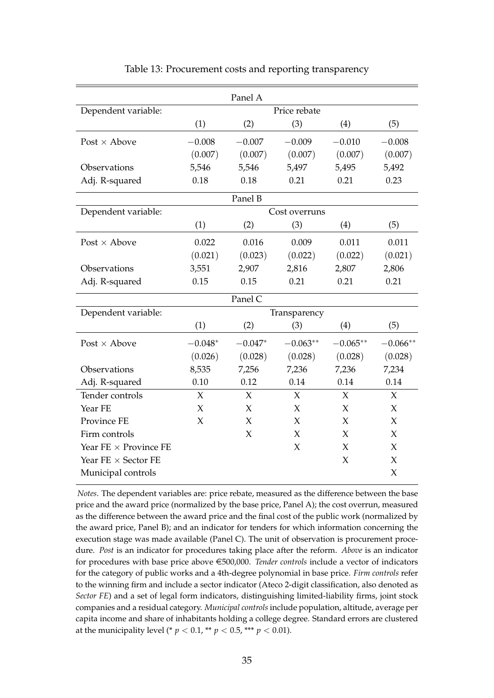|                                |               | Panel A   |            |            |            |
|--------------------------------|---------------|-----------|------------|------------|------------|
| Dependent variable:            | Price rebate  |           |            |            |            |
|                                | (1)           | (2)       | (3)        | (4)        | (5)        |
| Post $\times$ Above            | 0.008         | $-0.007$  | $-0.009$   | $-0.010$   | $-0.008$   |
|                                | (0.007)       | (0.007)   | (0.007)    | (0.007)    | (0.007)    |
| Observations                   | 5,546         | 5,546     | 5,497      | 5,495      | 5,492      |
| Adj. R-squared                 | 0.18          | 0.18      | 0.21       | 0.21       | 0.23       |
| Panel B                        |               |           |            |            |            |
| Dependent variable:            | Cost overruns |           |            |            |            |
|                                | (1)           | (2)       | (3)        | (4)        | (5)        |
| Post $\times$ Above            | 0.022         | 0.016     | 0.009      | 0.011      | 0.011      |
|                                | (0.021)       | (0.023)   | (0.022)    | (0.022)    | (0.021)    |
| Observations                   | 3,551         | 2,907     | 2,816      | 2,807      | 2,806      |
| Adj. R-squared                 | 0.15          | 0.15      | 0.21       | 0.21       | 0.21       |
| Panel C                        |               |           |            |            |            |
| Dependent variable:            | Transparency  |           |            |            |            |
|                                | (1)           | (2)       | (3)        | (4)        | (5)        |
| Post $\times$ Above            | $-0.048*$     | $-0.047*$ | $-0.063**$ | $-0.065**$ | $-0.066**$ |
|                                | (0.026)       | (0.028)   | (0.028)    | (0.028)    | (0.028)    |
| Observations                   | 8,535         | 7,256     | 7,236      | 7,236      | 7,234      |
| Adj. R-squared                 | 0.10          | 0.12      | 0.14       | 0.14       | 0.14       |
| Tender controls                | $\chi$        | $\chi$    | $\chi$     | $\chi$     | $\chi$     |
| Year FE                        | $\chi$        | $\chi$    | X          | X          | $\chi$     |
| Province FE                    | X             | $\chi$    | X          | $\chi$     | $\chi$     |
| Firm controls                  |               | $\chi$    | X          | $\chi$     | $\chi$     |
| Year $FE \times$ Province $FE$ |               |           | X          | X          | $\chi$     |
| Year $FE \times Sector$ FE     |               |           |            | $\chi$     | X          |
| Municipal controls             |               |           |            |            | $\chi$     |

Table 13: Procurement costs and reporting transparency

*Notes*. The dependent variables are: price rebate, measured as the difference between the base price and the award price (normalized by the base price, Panel A); the cost overrun, measured as the difference between the award price and the final cost of the public work (normalized by the award price, Panel B); and an indicator for tenders for which information concerning the execution stage was made available (Panel C). The unit of observation is procurement procedure. *Post* is an indicator for procedures taking place after the reform. *Above* is an indicator for procedures with base price above e500,000. *Tender controls* include a vector of indicators for the category of public works and a 4th-degree polynomial in base price. *Firm controls* refer to the winning firm and include a sector indicator (Ateco 2-digit classification, also denoted as *Sector FE*) and a set of legal form indicators, distinguishing limited-liability firms, joint stock companies and a residual category. *Municipal controls* include population, altitude, average per capita income and share of inhabitants holding a college degree. Standard errors are clustered at the municipality level (\*  $p < 0.1$ , \*\*  $p < 0.5$ , \*\*\*  $p < 0.01$ ).